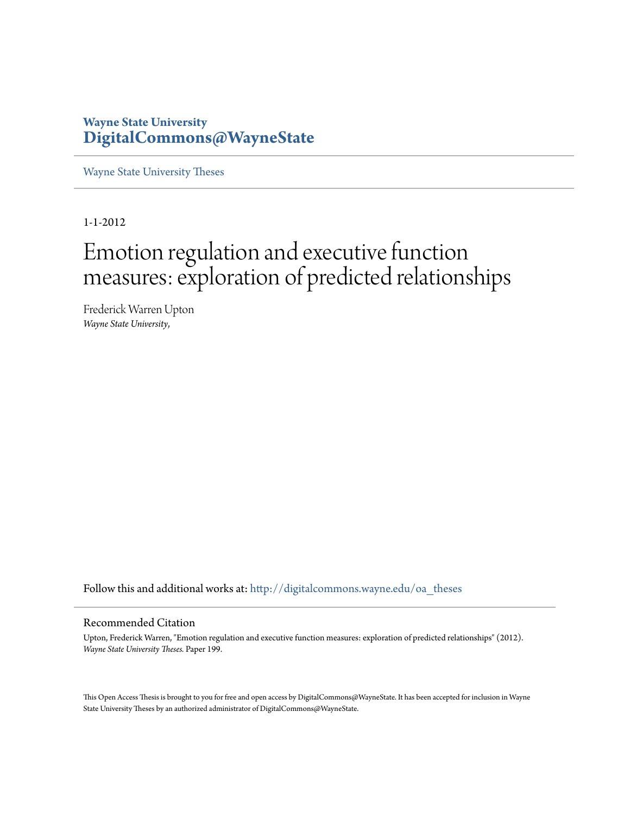# **Wayne State University [DigitalCommons@WayneState](http://digitalcommons.wayne.edu?utm_source=digitalcommons.wayne.edu%2Foa_theses%2F199&utm_medium=PDF&utm_campaign=PDFCoverPages)**

[Wayne State University Theses](http://digitalcommons.wayne.edu/oa_theses?utm_source=digitalcommons.wayne.edu%2Foa_theses%2F199&utm_medium=PDF&utm_campaign=PDFCoverPages)

1-1-2012

# Emotion regulation and executive function measures: exploration of predicted relationships

Frederick Warren Upton *Wayne State University*,

Follow this and additional works at: [http://digitalcommons.wayne.edu/oa\\_theses](http://digitalcommons.wayne.edu/oa_theses?utm_source=digitalcommons.wayne.edu%2Foa_theses%2F199&utm_medium=PDF&utm_campaign=PDFCoverPages)

#### Recommended Citation

Upton, Frederick Warren, "Emotion regulation and executive function measures: exploration of predicted relationships" (2012). *Wayne State University Theses.* Paper 199.

This Open Access Thesis is brought to you for free and open access by DigitalCommons@WayneState. It has been accepted for inclusion in Wayne State University Theses by an authorized administrator of DigitalCommons@WayneState.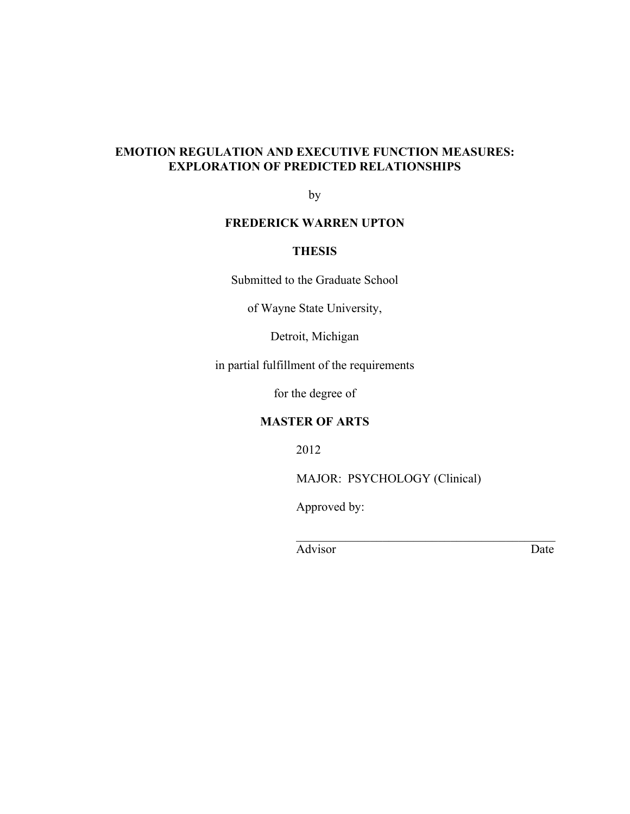## **EMOTION REGULATION AND EXECUTIVE FUNCTION MEASURES: EXPLORATION OF PREDICTED RELATIONSHIPS**

by

## **FREDERICK WARREN UPTON**

## **THESIS**

Submitted to the Graduate School

of Wayne State University,

Detroit, Michigan

in partial fulfillment of the requirements

for the degree of

## **MASTER OF ARTS**

2012

MAJOR: PSYCHOLOGY (Clinical)

 $\mathcal{L}_\text{max}$  , where  $\mathcal{L}_\text{max}$  and  $\mathcal{L}_\text{max}$  and  $\mathcal{L}_\text{max}$  and  $\mathcal{L}_\text{max}$ 

Approved by:

Advisor Date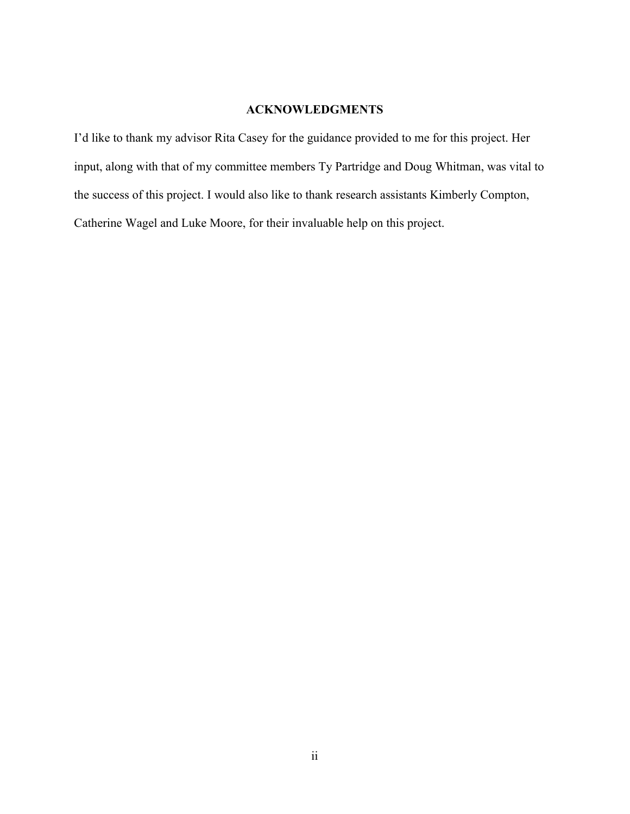## **ACKNOWLEDGMENTS**

I'd like to thank my advisor Rita Casey for the guidance provided to me for this project. Her input, along with that of my committee members Ty Partridge and Doug Whitman, was vital to the success of this project. I would also like to thank research assistants Kimberly Compton, Catherine Wagel and Luke Moore, for their invaluable help on this project.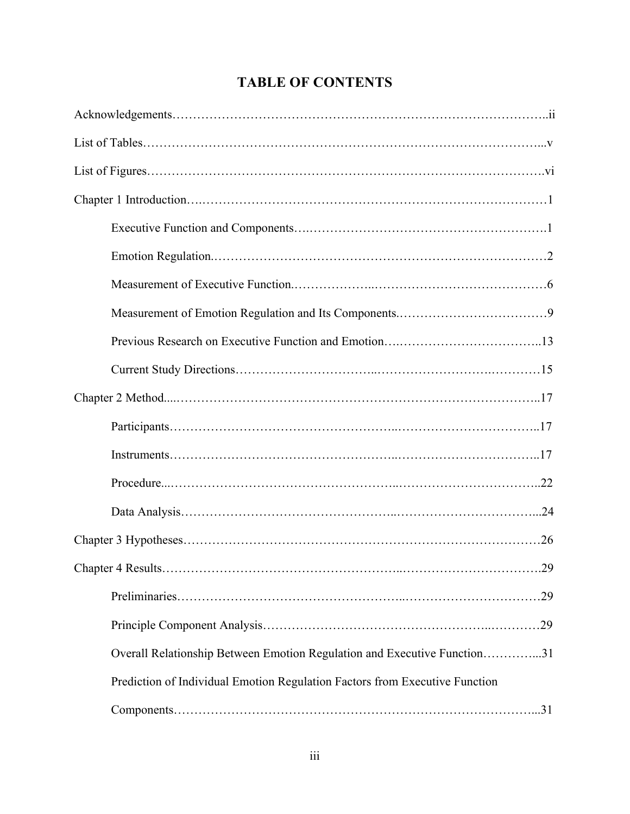| Overall Relationship Between Emotion Regulation and Executive Function31    |
|-----------------------------------------------------------------------------|
| Prediction of Individual Emotion Regulation Factors from Executive Function |
|                                                                             |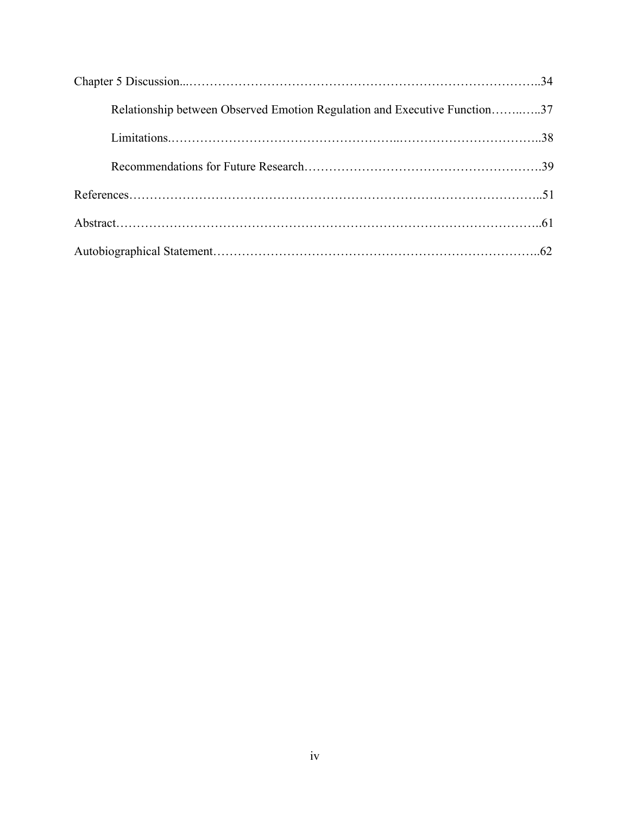| Relationship between Observed Emotion Regulation and Executive Function37 |  |
|---------------------------------------------------------------------------|--|
|                                                                           |  |
|                                                                           |  |
|                                                                           |  |
|                                                                           |  |
|                                                                           |  |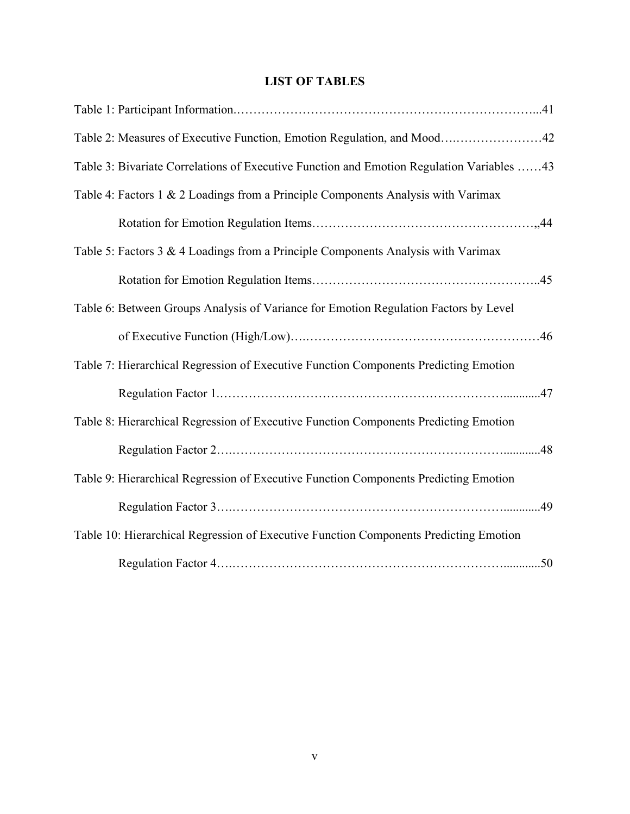## **LIST OF TABLES**

| Table 2: Measures of Executive Function, Emotion Regulation, and Mood42                   |  |
|-------------------------------------------------------------------------------------------|--|
| Table 3: Bivariate Correlations of Executive Function and Emotion Regulation Variables 43 |  |
| Table 4: Factors 1 & 2 Loadings from a Principle Components Analysis with Varimax         |  |
|                                                                                           |  |
| Table 5: Factors 3 & 4 Loadings from a Principle Components Analysis with Varimax         |  |
|                                                                                           |  |
| Table 6: Between Groups Analysis of Variance for Emotion Regulation Factors by Level      |  |
|                                                                                           |  |
| Table 7: Hierarchical Regression of Executive Function Components Predicting Emotion      |  |
|                                                                                           |  |
| Table 8: Hierarchical Regression of Executive Function Components Predicting Emotion      |  |
|                                                                                           |  |
| Table 9: Hierarchical Regression of Executive Function Components Predicting Emotion      |  |
|                                                                                           |  |
| Table 10: Hierarchical Regression of Executive Function Components Predicting Emotion     |  |
|                                                                                           |  |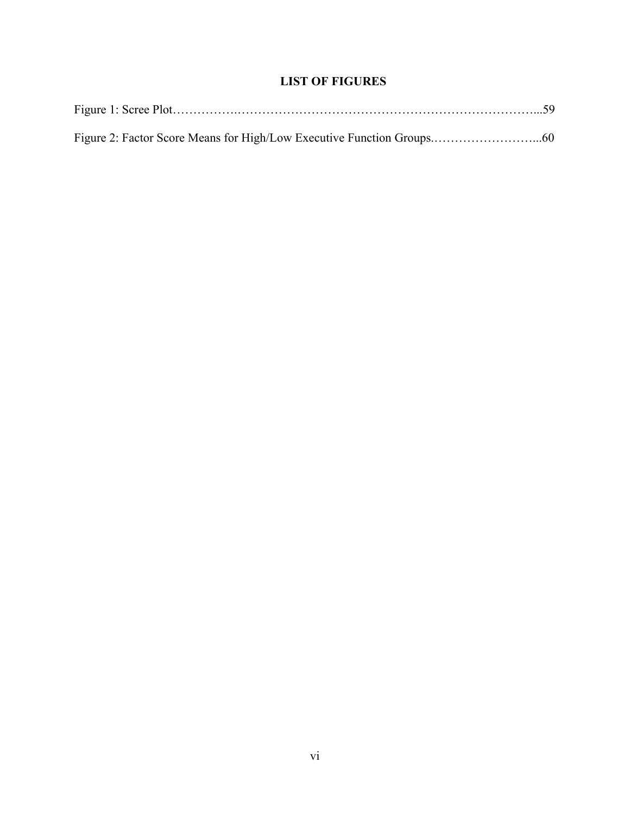## **LIST OF FIGURES**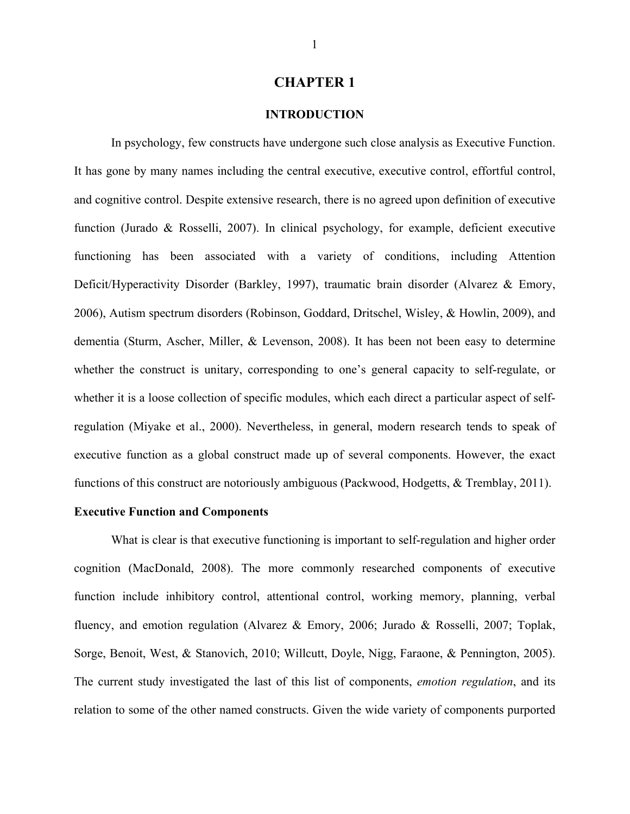### **CHAPTER 1**

## **INTRODUCTION**

In psychology, few constructs have undergone such close analysis as Executive Function. It has gone by many names including the central executive, executive control, effortful control, and cognitive control. Despite extensive research, there is no agreed upon definition of executive function (Jurado & Rosselli, 2007). In clinical psychology, for example, deficient executive functioning has been associated with a variety of conditions, including Attention Deficit/Hyperactivity Disorder (Barkley, 1997), traumatic brain disorder (Alvarez & Emory, 2006), Autism spectrum disorders (Robinson, Goddard, Dritschel, Wisley, & Howlin, 2009), and dementia (Sturm, Ascher, Miller, & Levenson, 2008). It has been not been easy to determine whether the construct is unitary, corresponding to one's general capacity to self-regulate, or whether it is a loose collection of specific modules, which each direct a particular aspect of selfregulation (Miyake et al., 2000). Nevertheless, in general, modern research tends to speak of executive function as a global construct made up of several components. However, the exact functions of this construct are notoriously ambiguous (Packwood, Hodgetts, & Tremblay, 2011).

## **Executive Function and Components**

What is clear is that executive functioning is important to self-regulation and higher order cognition (MacDonald, 2008). The more commonly researched components of executive function include inhibitory control, attentional control, working memory, planning, verbal fluency, and emotion regulation (Alvarez & Emory, 2006; Jurado & Rosselli, 2007; Toplak, Sorge, Benoit, West, & Stanovich, 2010; Willcutt, Doyle, Nigg, Faraone, & Pennington, 2005). The current study investigated the last of this list of components, *emotion regulation*, and its relation to some of the other named constructs. Given the wide variety of components purported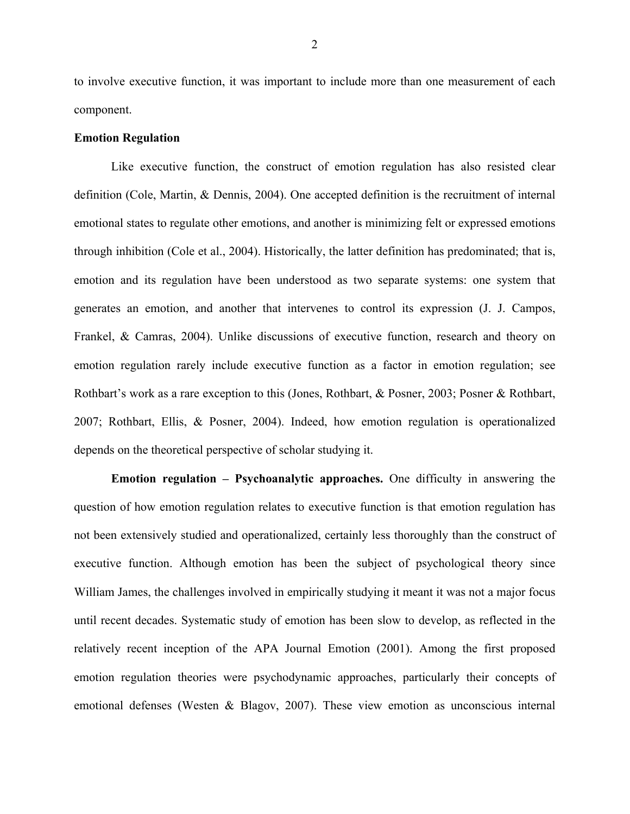to involve executive function, it was important to include more than one measurement of each component.

#### **Emotion Regulation**

Like executive function, the construct of emotion regulation has also resisted clear definition (Cole, Martin, & Dennis, 2004). One accepted definition is the recruitment of internal emotional states to regulate other emotions, and another is minimizing felt or expressed emotions through inhibition (Cole et al., 2004). Historically, the latter definition has predominated; that is, emotion and its regulation have been understood as two separate systems: one system that generates an emotion, and another that intervenes to control its expression (J. J. Campos, Frankel, & Camras, 2004). Unlike discussions of executive function, research and theory on emotion regulation rarely include executive function as a factor in emotion regulation; see Rothbart's work as a rare exception to this (Jones, Rothbart, & Posner, 2003; Posner & Rothbart, 2007; Rothbart, Ellis, & Posner, 2004). Indeed, how emotion regulation is operationalized depends on the theoretical perspective of scholar studying it.

**Emotion regulation – Psychoanalytic approaches.** One difficulty in answering the question of how emotion regulation relates to executive function is that emotion regulation has not been extensively studied and operationalized, certainly less thoroughly than the construct of executive function. Although emotion has been the subject of psychological theory since William James, the challenges involved in empirically studying it meant it was not a major focus until recent decades. Systematic study of emotion has been slow to develop, as reflected in the relatively recent inception of the APA Journal Emotion (2001). Among the first proposed emotion regulation theories were psychodynamic approaches, particularly their concepts of emotional defenses (Westen & Blagov, 2007). These view emotion as unconscious internal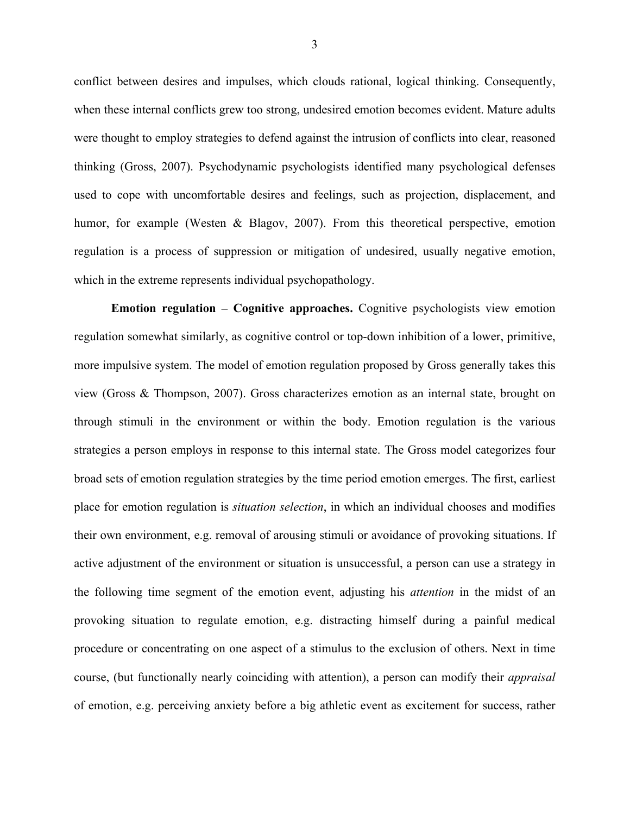conflict between desires and impulses, which clouds rational, logical thinking. Consequently, when these internal conflicts grew too strong, undesired emotion becomes evident. Mature adults were thought to employ strategies to defend against the intrusion of conflicts into clear, reasoned thinking (Gross, 2007). Psychodynamic psychologists identified many psychological defenses used to cope with uncomfortable desires and feelings, such as projection, displacement, and humor, for example (Westen & Blagov, 2007). From this theoretical perspective, emotion regulation is a process of suppression or mitigation of undesired, usually negative emotion, which in the extreme represents individual psychopathology.

**Emotion regulation – Cognitive approaches.** Cognitive psychologists view emotion regulation somewhat similarly, as cognitive control or top-down inhibition of a lower, primitive, more impulsive system. The model of emotion regulation proposed by Gross generally takes this view (Gross & Thompson, 2007). Gross characterizes emotion as an internal state, brought on through stimuli in the environment or within the body. Emotion regulation is the various strategies a person employs in response to this internal state. The Gross model categorizes four broad sets of emotion regulation strategies by the time period emotion emerges. The first, earliest place for emotion regulation is *situation selection*, in which an individual chooses and modifies their own environment, e.g. removal of arousing stimuli or avoidance of provoking situations. If active adjustment of the environment or situation is unsuccessful, a person can use a strategy in the following time segment of the emotion event, adjusting his *attention* in the midst of an provoking situation to regulate emotion, e.g. distracting himself during a painful medical procedure or concentrating on one aspect of a stimulus to the exclusion of others. Next in time course, (but functionally nearly coinciding with attention), a person can modify their *appraisal* of emotion, e.g. perceiving anxiety before a big athletic event as excitement for success, rather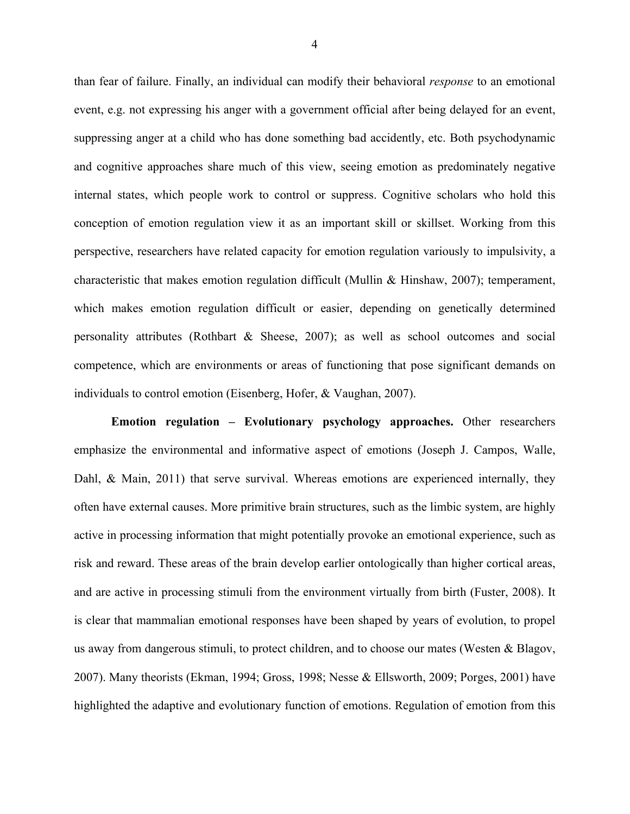than fear of failure. Finally, an individual can modify their behavioral *response* to an emotional event, e.g. not expressing his anger with a government official after being delayed for an event, suppressing anger at a child who has done something bad accidently, etc. Both psychodynamic and cognitive approaches share much of this view, seeing emotion as predominately negative internal states, which people work to control or suppress. Cognitive scholars who hold this conception of emotion regulation view it as an important skill or skillset. Working from this perspective, researchers have related capacity for emotion regulation variously to impulsivity, a characteristic that makes emotion regulation difficult (Mullin & Hinshaw, 2007); temperament, which makes emotion regulation difficult or easier, depending on genetically determined personality attributes (Rothbart & Sheese, 2007); as well as school outcomes and social competence, which are environments or areas of functioning that pose significant demands on individuals to control emotion (Eisenberg, Hofer, & Vaughan, 2007).

**Emotion regulation – Evolutionary psychology approaches.** Other researchers emphasize the environmental and informative aspect of emotions (Joseph J. Campos, Walle, Dahl, & Main, 2011) that serve survival. Whereas emotions are experienced internally, they often have external causes. More primitive brain structures, such as the limbic system, are highly active in processing information that might potentially provoke an emotional experience, such as risk and reward. These areas of the brain develop earlier ontologically than higher cortical areas, and are active in processing stimuli from the environment virtually from birth (Fuster, 2008). It is clear that mammalian emotional responses have been shaped by years of evolution, to propel us away from dangerous stimuli, to protect children, and to choose our mates (Westen & Blagov, 2007). Many theorists (Ekman, 1994; Gross, 1998; Nesse & Ellsworth, 2009; Porges, 2001) have highlighted the adaptive and evolutionary function of emotions. Regulation of emotion from this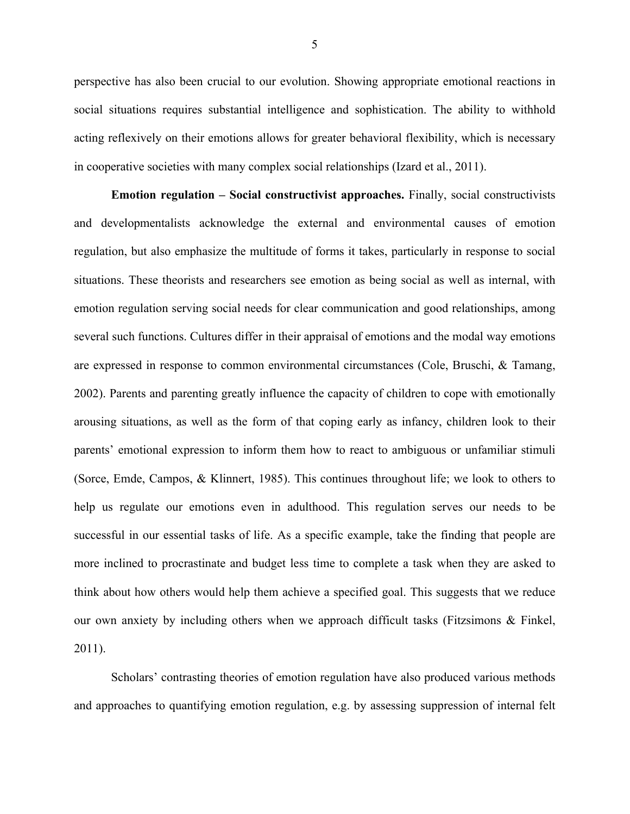perspective has also been crucial to our evolution. Showing appropriate emotional reactions in social situations requires substantial intelligence and sophistication. The ability to withhold acting reflexively on their emotions allows for greater behavioral flexibility, which is necessary in cooperative societies with many complex social relationships (Izard et al., 2011).

**Emotion regulation – Social constructivist approaches.** Finally, social constructivists and developmentalists acknowledge the external and environmental causes of emotion regulation, but also emphasize the multitude of forms it takes, particularly in response to social situations. These theorists and researchers see emotion as being social as well as internal, with emotion regulation serving social needs for clear communication and good relationships, among several such functions. Cultures differ in their appraisal of emotions and the modal way emotions are expressed in response to common environmental circumstances (Cole, Bruschi, & Tamang, 2002). Parents and parenting greatly influence the capacity of children to cope with emotionally arousing situations, as well as the form of that coping early as infancy, children look to their parents' emotional expression to inform them how to react to ambiguous or unfamiliar stimuli (Sorce, Emde, Campos, & Klinnert, 1985). This continues throughout life; we look to others to help us regulate our emotions even in adulthood. This regulation serves our needs to be successful in our essential tasks of life. As a specific example, take the finding that people are more inclined to procrastinate and budget less time to complete a task when they are asked to think about how others would help them achieve a specified goal. This suggests that we reduce our own anxiety by including others when we approach difficult tasks (Fitzsimons & Finkel, 2011).

Scholars' contrasting theories of emotion regulation have also produced various methods and approaches to quantifying emotion regulation, e.g. by assessing suppression of internal felt

5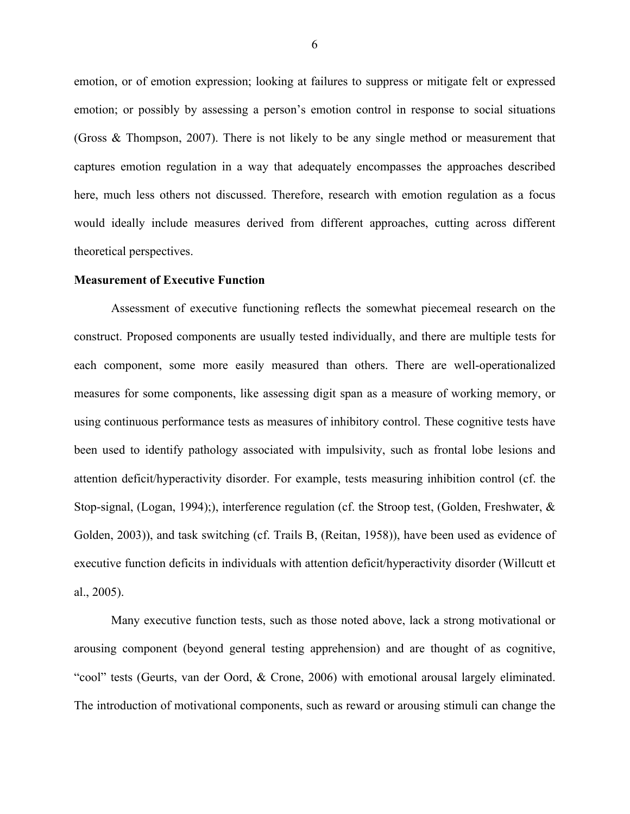emotion, or of emotion expression; looking at failures to suppress or mitigate felt or expressed emotion; or possibly by assessing a person's emotion control in response to social situations (Gross & Thompson, 2007). There is not likely to be any single method or measurement that captures emotion regulation in a way that adequately encompasses the approaches described here, much less others not discussed. Therefore, research with emotion regulation as a focus would ideally include measures derived from different approaches, cutting across different theoretical perspectives.

#### **Measurement of Executive Function**

Assessment of executive functioning reflects the somewhat piecemeal research on the construct. Proposed components are usually tested individually, and there are multiple tests for each component, some more easily measured than others. There are well-operationalized measures for some components, like assessing digit span as a measure of working memory, or using continuous performance tests as measures of inhibitory control. These cognitive tests have been used to identify pathology associated with impulsivity, such as frontal lobe lesions and attention deficit/hyperactivity disorder. For example, tests measuring inhibition control (cf. the Stop-signal, (Logan, 1994);), interference regulation (cf. the Stroop test, (Golden, Freshwater, & Golden, 2003)), and task switching (cf. Trails B, (Reitan, 1958)), have been used as evidence of executive function deficits in individuals with attention deficit/hyperactivity disorder (Willcutt et al., 2005).

Many executive function tests, such as those noted above, lack a strong motivational or arousing component (beyond general testing apprehension) and are thought of as cognitive, "cool" tests (Geurts, van der Oord, & Crone, 2006) with emotional arousal largely eliminated. The introduction of motivational components, such as reward or arousing stimuli can change the

6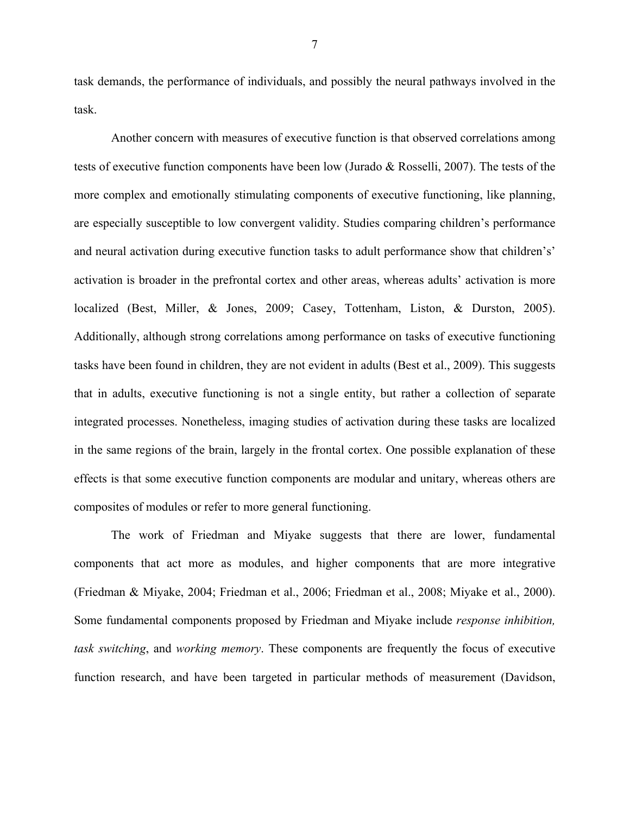task demands, the performance of individuals, and possibly the neural pathways involved in the task.

Another concern with measures of executive function is that observed correlations among tests of executive function components have been low (Jurado & Rosselli, 2007). The tests of the more complex and emotionally stimulating components of executive functioning, like planning, are especially susceptible to low convergent validity. Studies comparing children's performance and neural activation during executive function tasks to adult performance show that children's' activation is broader in the prefrontal cortex and other areas, whereas adults' activation is more localized (Best, Miller, & Jones, 2009; Casey, Tottenham, Liston, & Durston, 2005). Additionally, although strong correlations among performance on tasks of executive functioning tasks have been found in children, they are not evident in adults (Best et al., 2009). This suggests that in adults, executive functioning is not a single entity, but rather a collection of separate integrated processes. Nonetheless, imaging studies of activation during these tasks are localized in the same regions of the brain, largely in the frontal cortex. One possible explanation of these effects is that some executive function components are modular and unitary, whereas others are composites of modules or refer to more general functioning.

The work of Friedman and Miyake suggests that there are lower, fundamental components that act more as modules, and higher components that are more integrative (Friedman & Miyake, 2004; Friedman et al., 2006; Friedman et al., 2008; Miyake et al., 2000). Some fundamental components proposed by Friedman and Miyake include *response inhibition, task switching*, and *working memory*. These components are frequently the focus of executive function research, and have been targeted in particular methods of measurement (Davidson,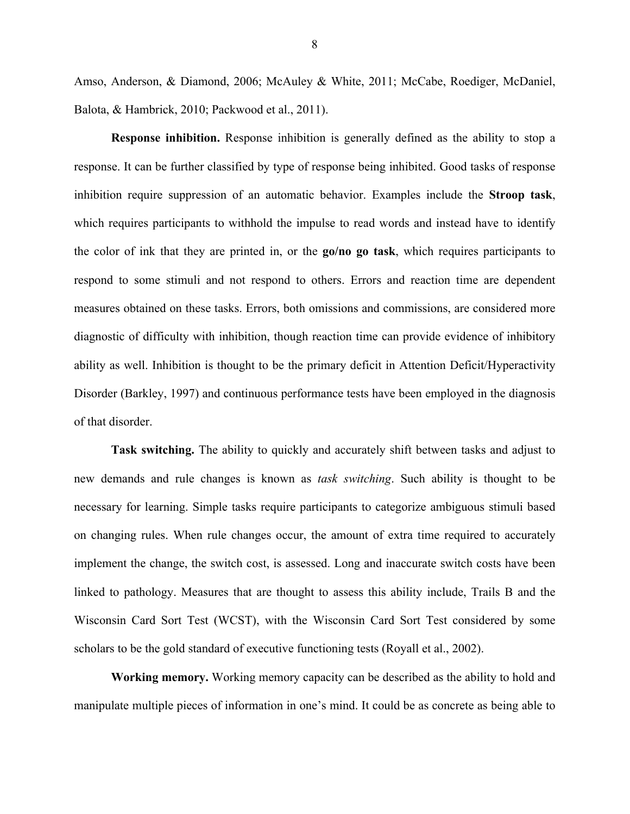Amso, Anderson, & Diamond, 2006; McAuley & White, 2011; McCabe, Roediger, McDaniel, Balota, & Hambrick, 2010; Packwood et al., 2011).

**Response inhibition.** Response inhibition is generally defined as the ability to stop a response. It can be further classified by type of response being inhibited. Good tasks of response inhibition require suppression of an automatic behavior. Examples include the **Stroop task**, which requires participants to withhold the impulse to read words and instead have to identify the color of ink that they are printed in, or the **go/no go task**, which requires participants to respond to some stimuli and not respond to others. Errors and reaction time are dependent measures obtained on these tasks. Errors, both omissions and commissions, are considered more diagnostic of difficulty with inhibition, though reaction time can provide evidence of inhibitory ability as well. Inhibition is thought to be the primary deficit in Attention Deficit/Hyperactivity Disorder (Barkley, 1997) and continuous performance tests have been employed in the diagnosis of that disorder.

**Task switching.** The ability to quickly and accurately shift between tasks and adjust to new demands and rule changes is known as *task switching*. Such ability is thought to be necessary for learning. Simple tasks require participants to categorize ambiguous stimuli based on changing rules. When rule changes occur, the amount of extra time required to accurately implement the change, the switch cost, is assessed. Long and inaccurate switch costs have been linked to pathology. Measures that are thought to assess this ability include, Trails B and the Wisconsin Card Sort Test (WCST), with the Wisconsin Card Sort Test considered by some scholars to be the gold standard of executive functioning tests (Royall et al., 2002).

**Working memory.** Working memory capacity can be described as the ability to hold and manipulate multiple pieces of information in one's mind. It could be as concrete as being able to

8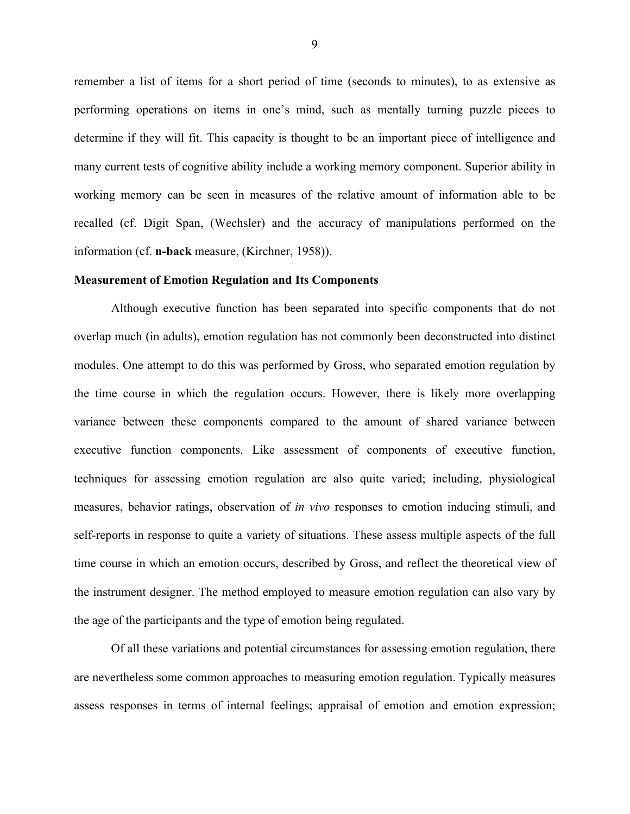remember a list of items for a short period of time (seconds to minutes), to as extensive as performing operations on items in one's mind, such as mentally turning puzzle pieces to determine if they will fit. This capacity is thought to be an important piece of intelligence and many current tests of cognitive ability include a working memory component. Superior ability in working memory can be seen in measures of the relative amount of information able to be recalled (cf. Digit Span, (Wechsler) and the accuracy of manipulations performed on the information (cf. **n-back** measure, (Kirchner, 1958)).

#### **Measurement of Emotion Regulation and Its Components**

Although executive function has been separated into specific components that do not overlap much (in adults), emotion regulation has not commonly been deconstructed into distinct modules. One attempt to do this was performed by Gross, who separated emotion regulation by the time course in which the regulation occurs. However, there is likely more overlapping variance between these components compared to the amount of shared variance between executive function components. Like assessment of components of executive function, techniques for assessing emotion regulation are also quite varied; including, physiological measures, behavior ratings, observation of *in vivo* responses to emotion inducing stimuli, and self-reports in response to quite a variety of situations. These assess multiple aspects of the full time course in which an emotion occurs, described by Gross, and reflect the theoretical view of the instrument designer. The method employed to measure emotion regulation can also vary by the age of the participants and the type of emotion being regulated.

Of all these variations and potential circumstances for assessing emotion regulation, there are nevertheless some common approaches to measuring emotion regulation. Typically measures assess responses in terms of internal feelings; appraisal of emotion and emotion expression;

9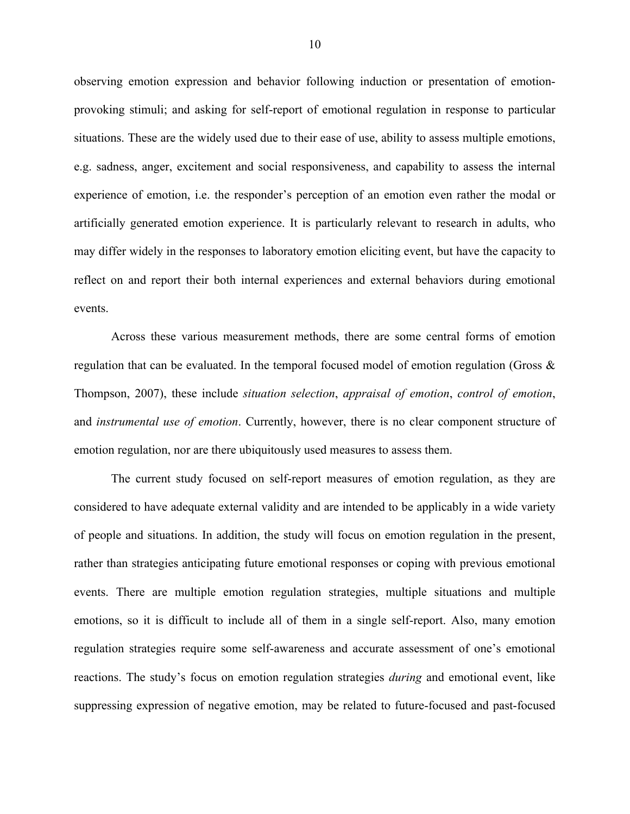observing emotion expression and behavior following induction or presentation of emotionprovoking stimuli; and asking for self-report of emotional regulation in response to particular situations. These are the widely used due to their ease of use, ability to assess multiple emotions, e.g. sadness, anger, excitement and social responsiveness, and capability to assess the internal experience of emotion, i.e. the responder's perception of an emotion even rather the modal or artificially generated emotion experience. It is particularly relevant to research in adults, who may differ widely in the responses to laboratory emotion eliciting event, but have the capacity to reflect on and report their both internal experiences and external behaviors during emotional events.

Across these various measurement methods, there are some central forms of emotion regulation that can be evaluated. In the temporal focused model of emotion regulation (Gross & Thompson, 2007), these include *situation selection*, *appraisal of emotion*, *control of emotion*, and *instrumental use of emotion*. Currently, however, there is no clear component structure of emotion regulation, nor are there ubiquitously used measures to assess them.

The current study focused on self-report measures of emotion regulation, as they are considered to have adequate external validity and are intended to be applicably in a wide variety of people and situations. In addition, the study will focus on emotion regulation in the present, rather than strategies anticipating future emotional responses or coping with previous emotional events. There are multiple emotion regulation strategies, multiple situations and multiple emotions, so it is difficult to include all of them in a single self-report. Also, many emotion regulation strategies require some self-awareness and accurate assessment of one's emotional reactions. The study's focus on emotion regulation strategies *during* and emotional event, like suppressing expression of negative emotion, may be related to future-focused and past-focused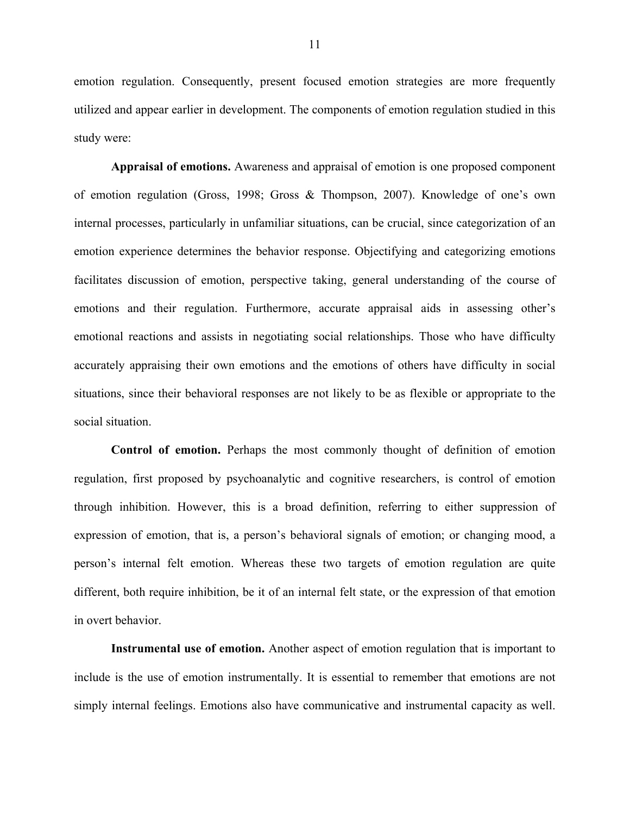emotion regulation. Consequently, present focused emotion strategies are more frequently utilized and appear earlier in development. The components of emotion regulation studied in this study were:

**Appraisal of emotions.** Awareness and appraisal of emotion is one proposed component of emotion regulation (Gross, 1998; Gross & Thompson, 2007). Knowledge of one's own internal processes, particularly in unfamiliar situations, can be crucial, since categorization of an emotion experience determines the behavior response. Objectifying and categorizing emotions facilitates discussion of emotion, perspective taking, general understanding of the course of emotions and their regulation. Furthermore, accurate appraisal aids in assessing other's emotional reactions and assists in negotiating social relationships. Those who have difficulty accurately appraising their own emotions and the emotions of others have difficulty in social situations, since their behavioral responses are not likely to be as flexible or appropriate to the social situation.

**Control of emotion.** Perhaps the most commonly thought of definition of emotion regulation, first proposed by psychoanalytic and cognitive researchers, is control of emotion through inhibition. However, this is a broad definition, referring to either suppression of expression of emotion, that is, a person's behavioral signals of emotion; or changing mood, a person's internal felt emotion. Whereas these two targets of emotion regulation are quite different, both require inhibition, be it of an internal felt state, or the expression of that emotion in overt behavior.

**Instrumental use of emotion.** Another aspect of emotion regulation that is important to include is the use of emotion instrumentally. It is essential to remember that emotions are not simply internal feelings. Emotions also have communicative and instrumental capacity as well.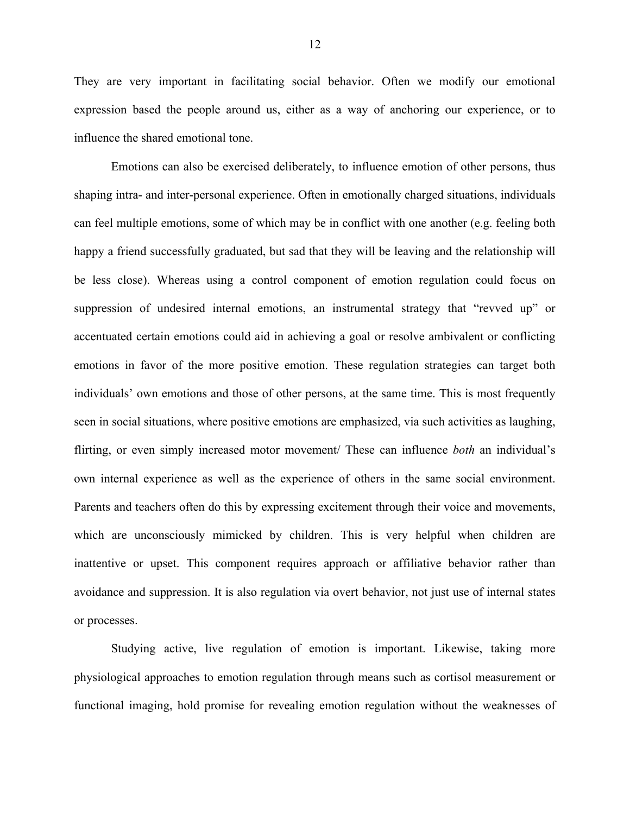They are very important in facilitating social behavior. Often we modify our emotional expression based the people around us, either as a way of anchoring our experience, or to influence the shared emotional tone.

Emotions can also be exercised deliberately, to influence emotion of other persons, thus shaping intra- and inter-personal experience. Often in emotionally charged situations, individuals can feel multiple emotions, some of which may be in conflict with one another (e.g. feeling both happy a friend successfully graduated, but sad that they will be leaving and the relationship will be less close). Whereas using a control component of emotion regulation could focus on suppression of undesired internal emotions, an instrumental strategy that "revved up" or accentuated certain emotions could aid in achieving a goal or resolve ambivalent or conflicting emotions in favor of the more positive emotion. These regulation strategies can target both individuals' own emotions and those of other persons, at the same time. This is most frequently seen in social situations, where positive emotions are emphasized, via such activities as laughing, flirting, or even simply increased motor movement/ These can influence *both* an individual's own internal experience as well as the experience of others in the same social environment. Parents and teachers often do this by expressing excitement through their voice and movements, which are unconsciously mimicked by children. This is very helpful when children are inattentive or upset. This component requires approach or affiliative behavior rather than avoidance and suppression. It is also regulation via overt behavior, not just use of internal states or processes.

Studying active, live regulation of emotion is important. Likewise, taking more physiological approaches to emotion regulation through means such as cortisol measurement or functional imaging, hold promise for revealing emotion regulation without the weaknesses of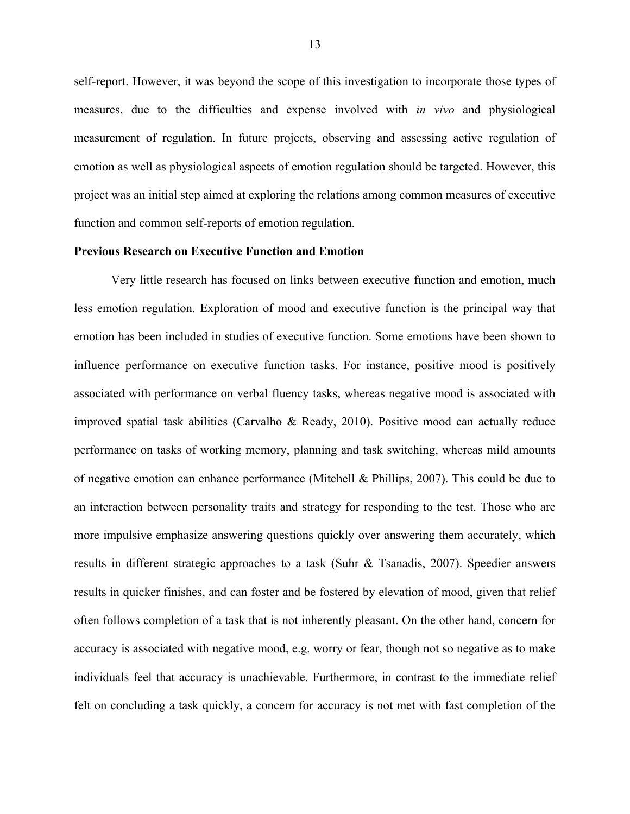self-report. However, it was beyond the scope of this investigation to incorporate those types of measures, due to the difficulties and expense involved with *in vivo* and physiological measurement of regulation. In future projects, observing and assessing active regulation of emotion as well as physiological aspects of emotion regulation should be targeted. However, this project was an initial step aimed at exploring the relations among common measures of executive function and common self-reports of emotion regulation.

## **Previous Research on Executive Function and Emotion**

Very little research has focused on links between executive function and emotion, much less emotion regulation. Exploration of mood and executive function is the principal way that emotion has been included in studies of executive function. Some emotions have been shown to influence performance on executive function tasks. For instance, positive mood is positively associated with performance on verbal fluency tasks, whereas negative mood is associated with improved spatial task abilities (Carvalho & Ready, 2010). Positive mood can actually reduce performance on tasks of working memory, planning and task switching, whereas mild amounts of negative emotion can enhance performance (Mitchell & Phillips, 2007). This could be due to an interaction between personality traits and strategy for responding to the test. Those who are more impulsive emphasize answering questions quickly over answering them accurately, which results in different strategic approaches to a task (Suhr & Tsanadis, 2007). Speedier answers results in quicker finishes, and can foster and be fostered by elevation of mood, given that relief often follows completion of a task that is not inherently pleasant. On the other hand, concern for accuracy is associated with negative mood, e.g. worry or fear, though not so negative as to make individuals feel that accuracy is unachievable. Furthermore, in contrast to the immediate relief felt on concluding a task quickly, a concern for accuracy is not met with fast completion of the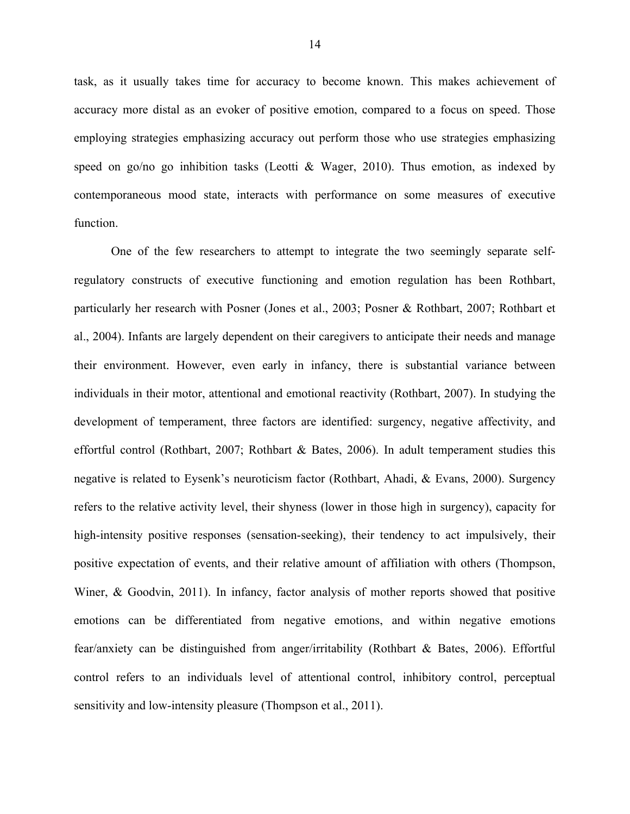task, as it usually takes time for accuracy to become known. This makes achievement of accuracy more distal as an evoker of positive emotion, compared to a focus on speed. Those employing strategies emphasizing accuracy out perform those who use strategies emphasizing speed on go/no go inhibition tasks (Leotti & Wager, 2010). Thus emotion, as indexed by contemporaneous mood state, interacts with performance on some measures of executive function.

One of the few researchers to attempt to integrate the two seemingly separate selfregulatory constructs of executive functioning and emotion regulation has been Rothbart, particularly her research with Posner (Jones et al., 2003; Posner & Rothbart, 2007; Rothbart et al., 2004). Infants are largely dependent on their caregivers to anticipate their needs and manage their environment. However, even early in infancy, there is substantial variance between individuals in their motor, attentional and emotional reactivity (Rothbart, 2007). In studying the development of temperament, three factors are identified: surgency, negative affectivity, and effortful control (Rothbart, 2007; Rothbart & Bates, 2006). In adult temperament studies this negative is related to Eysenk's neuroticism factor (Rothbart, Ahadi, & Evans, 2000). Surgency refers to the relative activity level, their shyness (lower in those high in surgency), capacity for high-intensity positive responses (sensation-seeking), their tendency to act impulsively, their positive expectation of events, and their relative amount of affiliation with others (Thompson, Winer, & Goodvin, 2011). In infancy, factor analysis of mother reports showed that positive emotions can be differentiated from negative emotions, and within negative emotions fear/anxiety can be distinguished from anger/irritability (Rothbart & Bates, 2006). Effortful control refers to an individuals level of attentional control, inhibitory control, perceptual sensitivity and low-intensity pleasure (Thompson et al., 2011).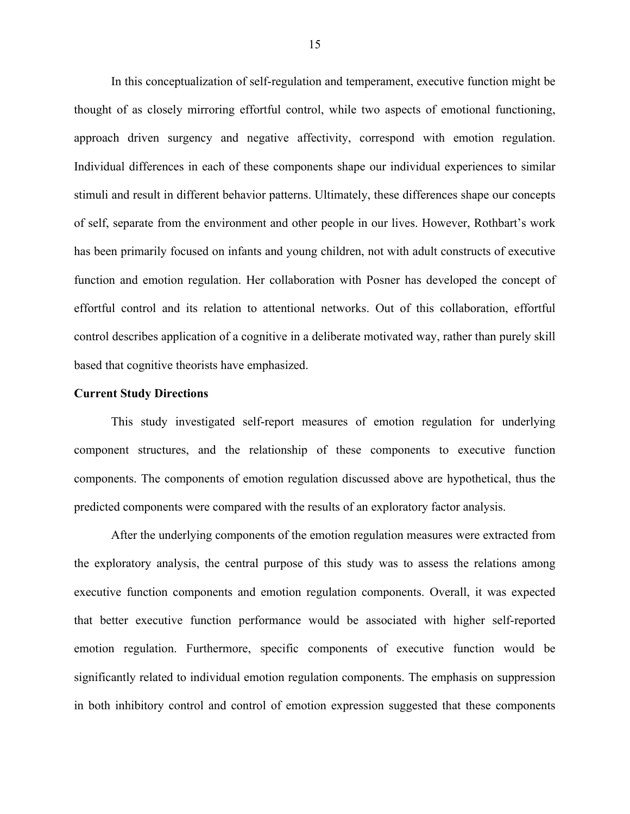In this conceptualization of self-regulation and temperament, executive function might be thought of as closely mirroring effortful control, while two aspects of emotional functioning, approach driven surgency and negative affectivity, correspond with emotion regulation. Individual differences in each of these components shape our individual experiences to similar stimuli and result in different behavior patterns. Ultimately, these differences shape our concepts of self, separate from the environment and other people in our lives. However, Rothbart's work has been primarily focused on infants and young children, not with adult constructs of executive function and emotion regulation. Her collaboration with Posner has developed the concept of effortful control and its relation to attentional networks. Out of this collaboration, effortful control describes application of a cognitive in a deliberate motivated way, rather than purely skill based that cognitive theorists have emphasized.

#### **Current Study Directions**

This study investigated self-report measures of emotion regulation for underlying component structures, and the relationship of these components to executive function components. The components of emotion regulation discussed above are hypothetical, thus the predicted components were compared with the results of an exploratory factor analysis.

After the underlying components of the emotion regulation measures were extracted from the exploratory analysis, the central purpose of this study was to assess the relations among executive function components and emotion regulation components. Overall, it was expected that better executive function performance would be associated with higher self-reported emotion regulation. Furthermore, specific components of executive function would be significantly related to individual emotion regulation components. The emphasis on suppression in both inhibitory control and control of emotion expression suggested that these components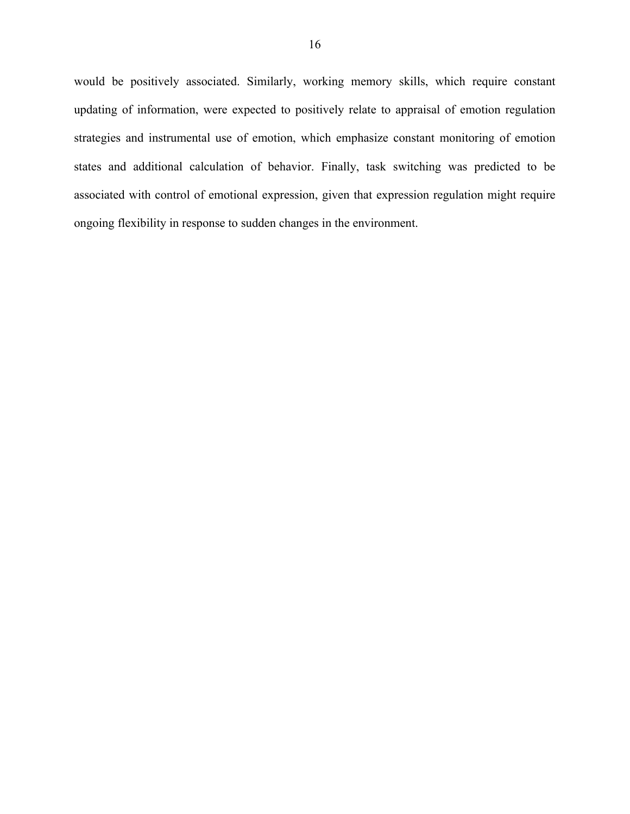would be positively associated. Similarly, working memory skills, which require constant updating of information, were expected to positively relate to appraisal of emotion regulation strategies and instrumental use of emotion, which emphasize constant monitoring of emotion states and additional calculation of behavior. Finally, task switching was predicted to be associated with control of emotional expression, given that expression regulation might require ongoing flexibility in response to sudden changes in the environment.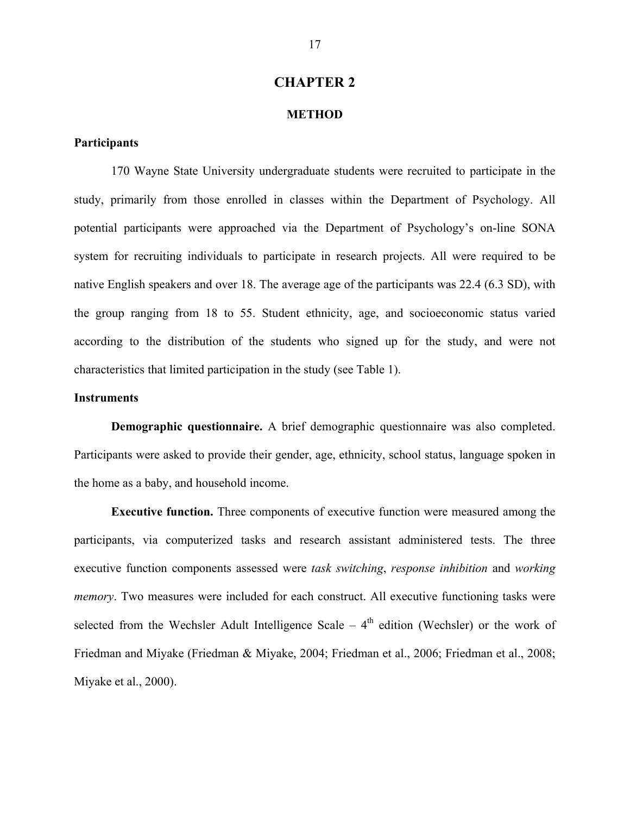## **CHAPTER 2**

#### **METHOD**

## **Participants**

170 Wayne State University undergraduate students were recruited to participate in the study, primarily from those enrolled in classes within the Department of Psychology. All potential participants were approached via the Department of Psychology's on-line SONA system for recruiting individuals to participate in research projects. All were required to be native English speakers and over 18. The average age of the participants was 22.4 (6.3 SD), with the group ranging from 18 to 55. Student ethnicity, age, and socioeconomic status varied according to the distribution of the students who signed up for the study, and were not characteristics that limited participation in the study (see Table 1).

### **Instruments**

**Demographic questionnaire.** A brief demographic questionnaire was also completed. Participants were asked to provide their gender, age, ethnicity, school status, language spoken in the home as a baby, and household income.

**Executive function.** Three components of executive function were measured among the participants, via computerized tasks and research assistant administered tests. The three executive function components assessed were *task switching*, *response inhibition* and *working memory*. Two measures were included for each construct. All executive functioning tasks were selected from the Wechsler Adult Intelligence Scale –  $4<sup>th</sup>$  edition (Wechsler) or the work of Friedman and Miyake (Friedman & Miyake, 2004; Friedman et al., 2006; Friedman et al., 2008; Miyake et al., 2000).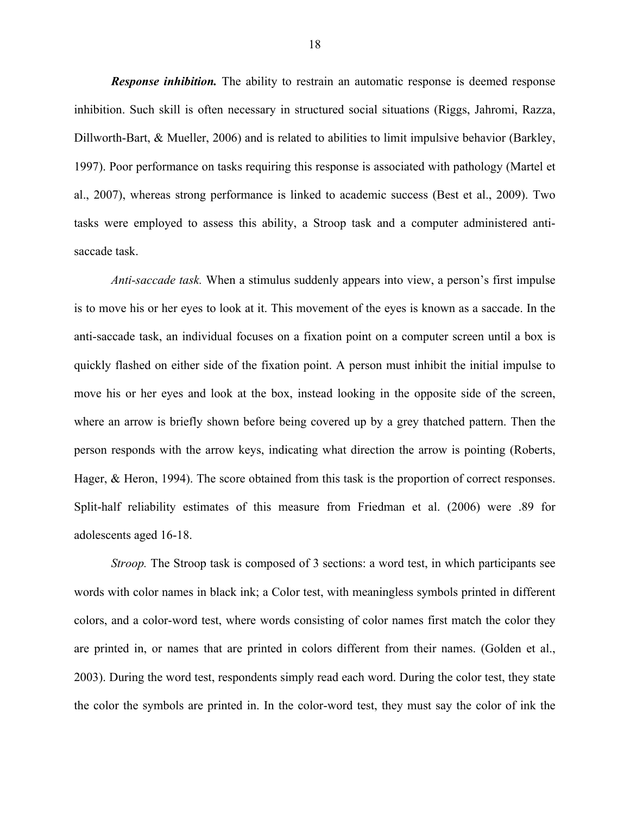*Response inhibition.* The ability to restrain an automatic response is deemed response inhibition. Such skill is often necessary in structured social situations (Riggs, Jahromi, Razza, Dillworth-Bart, & Mueller, 2006) and is related to abilities to limit impulsive behavior (Barkley, 1997). Poor performance on tasks requiring this response is associated with pathology (Martel et al., 2007), whereas strong performance is linked to academic success (Best et al., 2009). Two tasks were employed to assess this ability, a Stroop task and a computer administered antisaccade task.

*Anti-saccade task.* When a stimulus suddenly appears into view, a person's first impulse is to move his or her eyes to look at it. This movement of the eyes is known as a saccade. In the anti-saccade task, an individual focuses on a fixation point on a computer screen until a box is quickly flashed on either side of the fixation point. A person must inhibit the initial impulse to move his or her eyes and look at the box, instead looking in the opposite side of the screen, where an arrow is briefly shown before being covered up by a grey thatched pattern. Then the person responds with the arrow keys, indicating what direction the arrow is pointing (Roberts, Hager, & Heron, 1994). The score obtained from this task is the proportion of correct responses. Split-half reliability estimates of this measure from Friedman et al. (2006) were .89 for adolescents aged 16-18.

*Stroop.* The Stroop task is composed of 3 sections: a word test, in which participants see words with color names in black ink; a Color test, with meaningless symbols printed in different colors, and a color-word test, where words consisting of color names first match the color they are printed in, or names that are printed in colors different from their names. (Golden et al., 2003). During the word test, respondents simply read each word. During the color test, they state the color the symbols are printed in. In the color-word test, they must say the color of ink the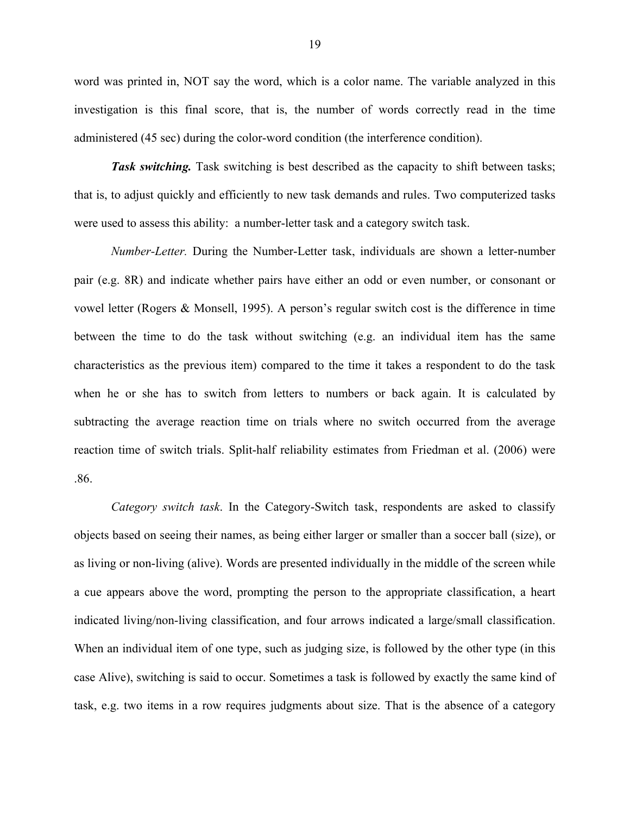word was printed in, NOT say the word, which is a color name. The variable analyzed in this investigation is this final score, that is, the number of words correctly read in the time administered (45 sec) during the color-word condition (the interference condition).

**Task switching.** Task switching is best described as the capacity to shift between tasks; that is, to adjust quickly and efficiently to new task demands and rules. Two computerized tasks were used to assess this ability: a number-letter task and a category switch task.

*Number-Letter.* During the Number-Letter task, individuals are shown a letter-number pair (e.g. 8R) and indicate whether pairs have either an odd or even number, or consonant or vowel letter (Rogers & Monsell, 1995). A person's regular switch cost is the difference in time between the time to do the task without switching (e.g. an individual item has the same characteristics as the previous item) compared to the time it takes a respondent to do the task when he or she has to switch from letters to numbers or back again. It is calculated by subtracting the average reaction time on trials where no switch occurred from the average reaction time of switch trials. Split-half reliability estimates from Friedman et al. (2006) were .86.

*Category switch task*. In the Category-Switch task, respondents are asked to classify objects based on seeing their names, as being either larger or smaller than a soccer ball (size), or as living or non-living (alive). Words are presented individually in the middle of the screen while a cue appears above the word, prompting the person to the appropriate classification, a heart indicated living/non-living classification, and four arrows indicated a large/small classification. When an individual item of one type, such as judging size, is followed by the other type (in this case Alive), switching is said to occur. Sometimes a task is followed by exactly the same kind of task, e.g. two items in a row requires judgments about size. That is the absence of a category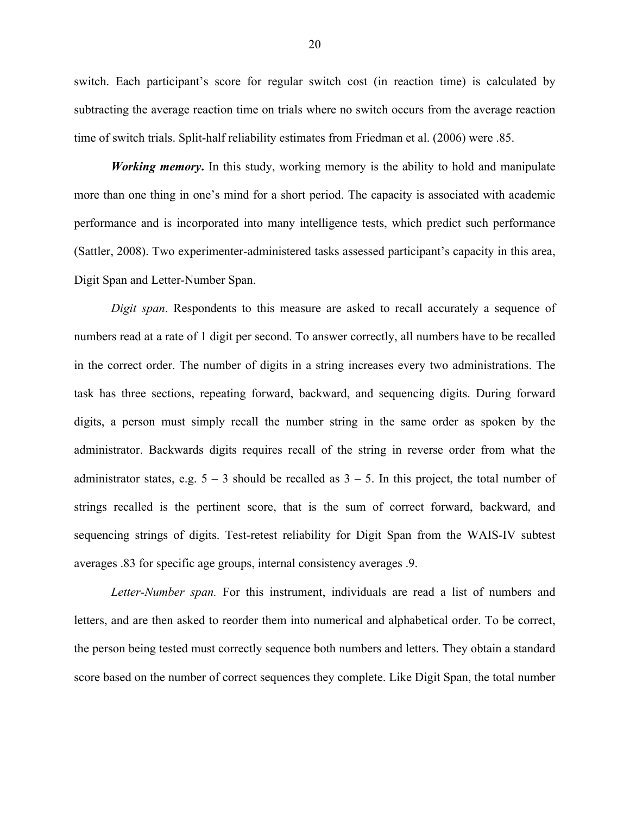switch. Each participant's score for regular switch cost (in reaction time) is calculated by subtracting the average reaction time on trials where no switch occurs from the average reaction time of switch trials. Split-half reliability estimates from Friedman et al. (2006) were .85.

*Working memory***.** In this study, working memory is the ability to hold and manipulate more than one thing in one's mind for a short period. The capacity is associated with academic performance and is incorporated into many intelligence tests, which predict such performance (Sattler, 2008). Two experimenter-administered tasks assessed participant's capacity in this area, Digit Span and Letter-Number Span.

*Digit span*. Respondents to this measure are asked to recall accurately a sequence of numbers read at a rate of 1 digit per second. To answer correctly, all numbers have to be recalled in the correct order. The number of digits in a string increases every two administrations. The task has three sections, repeating forward, backward, and sequencing digits. During forward digits, a person must simply recall the number string in the same order as spoken by the administrator. Backwards digits requires recall of the string in reverse order from what the administrator states, e.g.  $5 - 3$  should be recalled as  $3 - 5$ . In this project, the total number of strings recalled is the pertinent score, that is the sum of correct forward, backward, and sequencing strings of digits. Test-retest reliability for Digit Span from the WAIS-IV subtest averages .83 for specific age groups, internal consistency averages .9.

*Letter-Number span.* For this instrument, individuals are read a list of numbers and letters, and are then asked to reorder them into numerical and alphabetical order. To be correct, the person being tested must correctly sequence both numbers and letters. They obtain a standard score based on the number of correct sequences they complete. Like Digit Span, the total number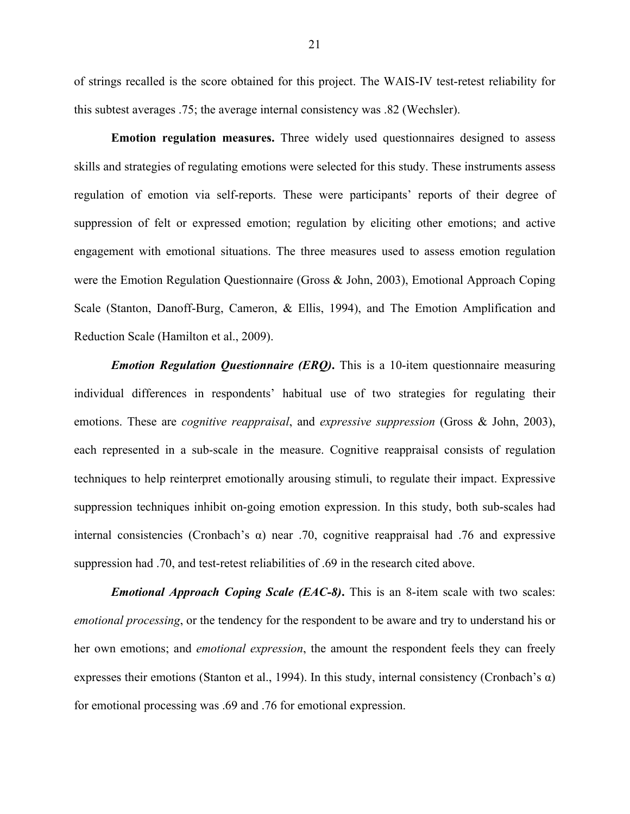of strings recalled is the score obtained for this project. The WAIS-IV test-retest reliability for this subtest averages .75; the average internal consistency was .82 (Wechsler).

**Emotion regulation measures.** Three widely used questionnaires designed to assess skills and strategies of regulating emotions were selected for this study. These instruments assess regulation of emotion via self-reports. These were participants' reports of their degree of suppression of felt or expressed emotion; regulation by eliciting other emotions; and active engagement with emotional situations. The three measures used to assess emotion regulation were the Emotion Regulation Questionnaire (Gross & John, 2003), Emotional Approach Coping Scale (Stanton, Danoff-Burg, Cameron, & Ellis, 1994), and The Emotion Amplification and Reduction Scale (Hamilton et al., 2009).

*Emotion Regulation Questionnaire (ERQ)***.** This is a 10-item questionnaire measuring individual differences in respondents' habitual use of two strategies for regulating their emotions. These are *cognitive reappraisal*, and *expressive suppression* (Gross & John, 2003), each represented in a sub-scale in the measure. Cognitive reappraisal consists of regulation techniques to help reinterpret emotionally arousing stimuli, to regulate their impact. Expressive suppression techniques inhibit on-going emotion expression. In this study, both sub-scales had internal consistencies (Cronbach's  $\alpha$ ) near .70, cognitive reappraisal had .76 and expressive suppression had .70, and test-retest reliabilities of .69 in the research cited above.

*Emotional Approach Coping Scale (EAC-8)***.** This is an 8-item scale with two scales: *emotional processing*, or the tendency for the respondent to be aware and try to understand his or her own emotions; and *emotional expression*, the amount the respondent feels they can freely expresses their emotions (Stanton et al., 1994). In this study, internal consistency (Cronbach's  $\alpha$ ) for emotional processing was .69 and .76 for emotional expression.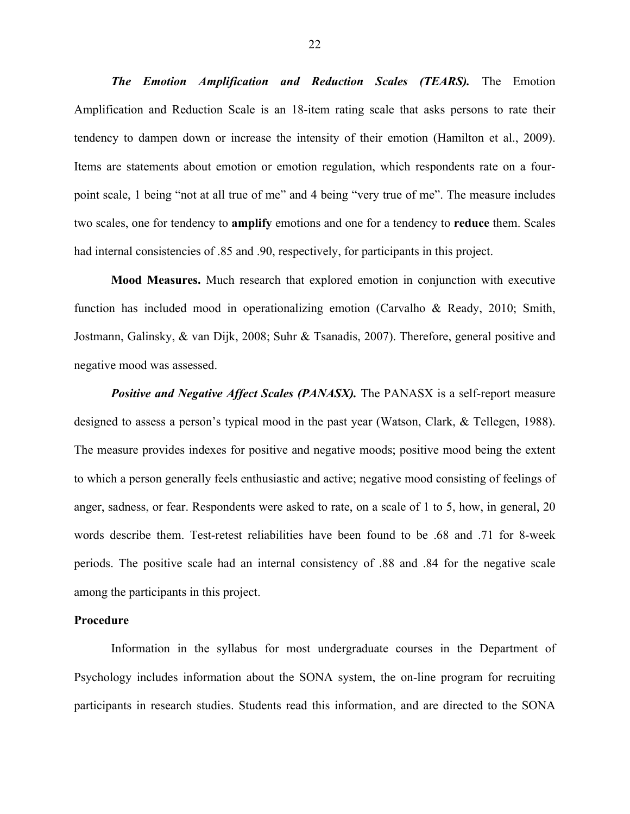*The Emotion Amplification and Reduction Scales (TEARS).* The Emotion Amplification and Reduction Scale is an 18-item rating scale that asks persons to rate their tendency to dampen down or increase the intensity of their emotion (Hamilton et al., 2009). Items are statements about emotion or emotion regulation, which respondents rate on a fourpoint scale, 1 being "not at all true of me" and 4 being "very true of me". The measure includes two scales, one for tendency to **amplify** emotions and one for a tendency to **reduce** them. Scales had internal consistencies of .85 and .90, respectively, for participants in this project.

**Mood Measures.** Much research that explored emotion in conjunction with executive function has included mood in operationalizing emotion (Carvalho & Ready, 2010; Smith, Jostmann, Galinsky, & van Dijk, 2008; Suhr & Tsanadis, 2007). Therefore, general positive and negative mood was assessed.

*Positive and Negative Affect Scales (PANASX).* The PANASX is a self-report measure designed to assess a person's typical mood in the past year (Watson, Clark, & Tellegen, 1988). The measure provides indexes for positive and negative moods; positive mood being the extent to which a person generally feels enthusiastic and active; negative mood consisting of feelings of anger, sadness, or fear. Respondents were asked to rate, on a scale of 1 to 5, how, in general, 20 words describe them. Test-retest reliabilities have been found to be .68 and .71 for 8-week periods. The positive scale had an internal consistency of .88 and .84 for the negative scale among the participants in this project.

#### **Procedure**

Information in the syllabus for most undergraduate courses in the Department of Psychology includes information about the SONA system, the on-line program for recruiting participants in research studies. Students read this information, and are directed to the SONA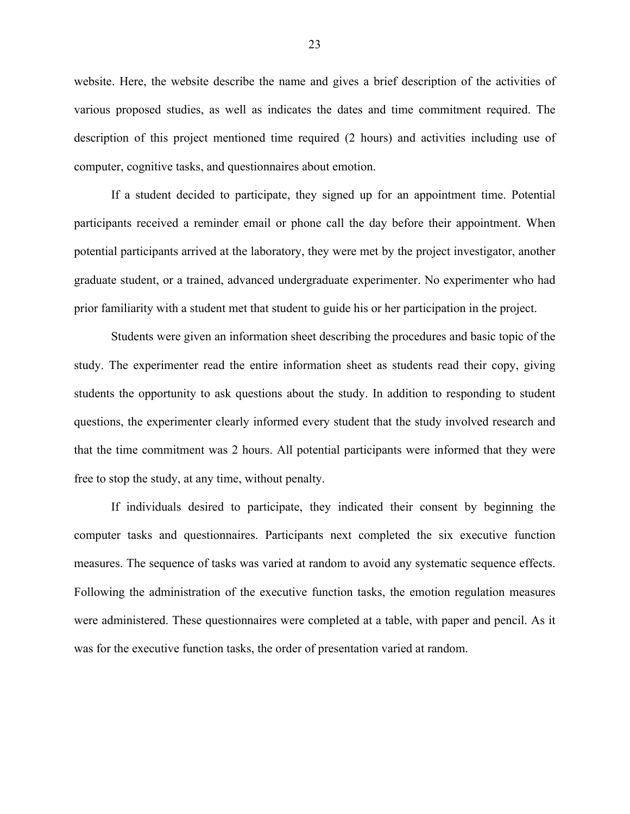website. Here, the website describe the name and gives a brief description of the activities of various proposed studies, as well as indicates the dates and time commitment required. The description of this project mentioned time required (2 hours) and activities including use of computer, cognitive tasks, and questionnaires about emotion.

If a student decided to participate, they signed up for an appointment time. Potential participants received a reminder email or phone call the day before their appointment. When potential participants arrived at the laboratory, they were met by the project investigator, another graduate student, or a trained, advanced undergraduate experimenter. No experimenter who had prior familiarity with a student met that student to guide his or her participation in the project.

Students were given an information sheet describing the procedures and basic topic of the study. The experimenter read the entire information sheet as students read their copy, giving students the opportunity to ask questions about the study. In addition to responding to student questions, the experimenter clearly informed every student that the study involved research and that the time commitment was 2 hours. All potential participants were informed that they were free to stop the study, at any time, without penalty.

If individuals desired to participate, they indicated their consent by beginning the computer tasks and questionnaires. Participants next completed the six executive function measures. The sequence of tasks was varied at random to avoid any systematic sequence effects. Following the administration of the executive function tasks, the emotion regulation measures were administered. These questionnaires were completed at a table, with paper and pencil. As it was for the executive function tasks, the order of presentation varied at random.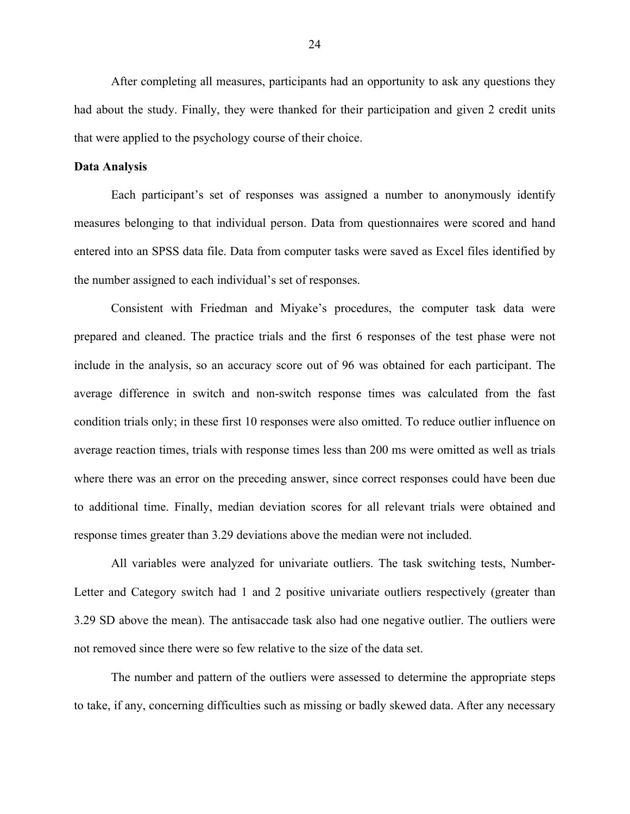After completing all measures, participants had an opportunity to ask any questions they had about the study. Finally, they were thanked for their participation and given 2 credit units that were applied to the psychology course of their choice.

#### **Data Analysis**

Each participant's set of responses was assigned a number to anonymously identify measures belonging to that individual person. Data from questionnaires were scored and hand entered into an SPSS data file. Data from computer tasks were saved as Excel files identified by the number assigned to each individual's set of responses.

Consistent with Friedman and Miyake's procedures, the computer task data were prepared and cleaned. The practice trials and the first 6 responses of the test phase were not include in the analysis, so an accuracy score out of 96 was obtained for each participant. The average difference in switch and non-switch response times was calculated from the fast condition trials only; in these first 10 responses were also omitted. To reduce outlier influence on average reaction times, trials with response times less than 200 ms were omitted as well as trials where there was an error on the preceding answer, since correct responses could have been due to additional time. Finally, median deviation scores for all relevant trials were obtained and response times greater than 3.29 deviations above the median were not included.

All variables were analyzed for univariate outliers. The task switching tests, Number-Letter and Category switch had 1 and 2 positive univariate outliers respectively (greater than 3.29 SD above the mean). The antisaccade task also had one negative outlier. The outliers were not removed since there were so few relative to the size of the data set.

The number and pattern of the outliers were assessed to determine the appropriate steps to take, if any, concerning difficulties such as missing or badly skewed data. After any necessary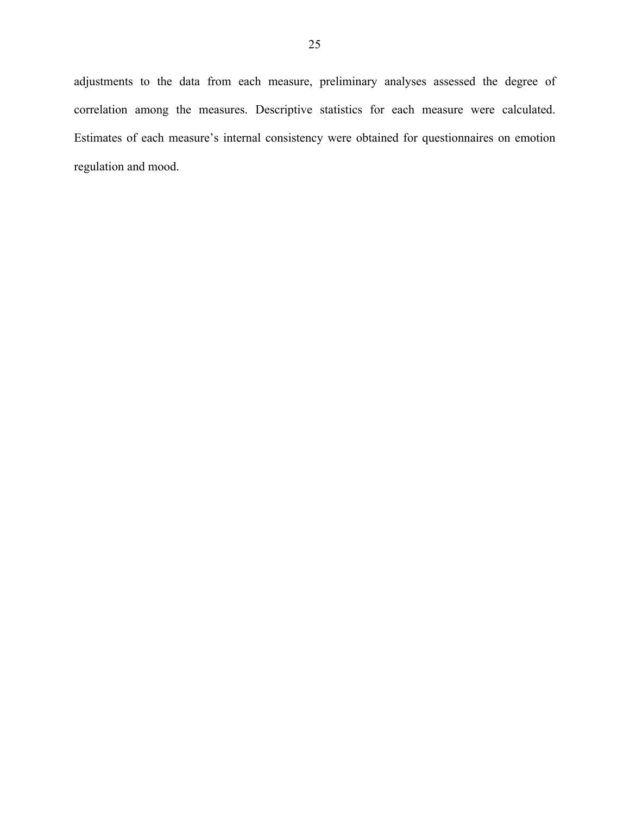adjustments to the data from each measure, preliminary analyses assessed the degree of correlation among the measures. Descriptive statistics for each measure were calculated. Estimates of each measure's internal consistency were obtained for questionnaires on emotion regulation and mood.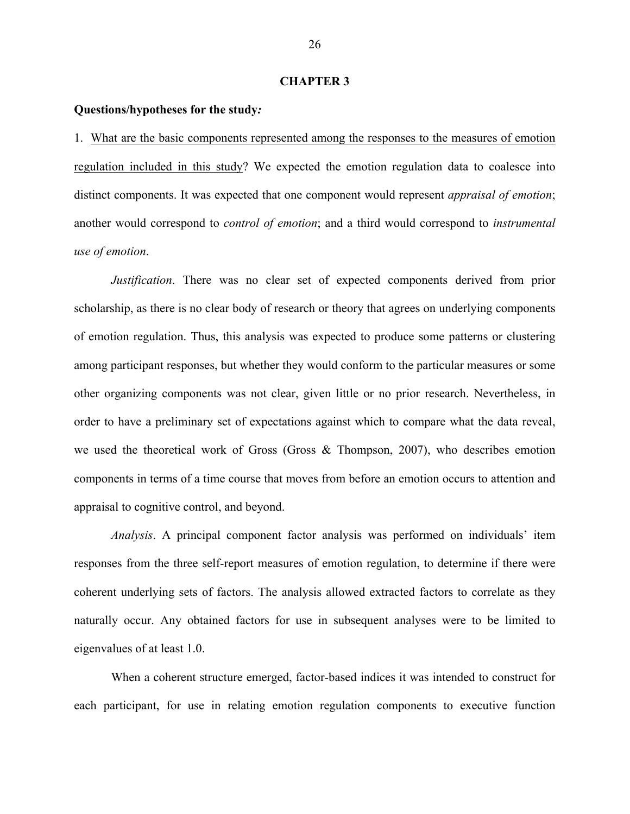#### **CHAPTER 3**

#### **Questions/hypotheses for the study***:*

1. What are the basic components represented among the responses to the measures of emotion regulation included in this study? We expected the emotion regulation data to coalesce into distinct components. It was expected that one component would represent *appraisal of emotion*; another would correspond to *control of emotion*; and a third would correspond to *instrumental use of emotion*.

*Justification*. There was no clear set of expected components derived from prior scholarship, as there is no clear body of research or theory that agrees on underlying components of emotion regulation. Thus, this analysis was expected to produce some patterns or clustering among participant responses, but whether they would conform to the particular measures or some other organizing components was not clear, given little or no prior research. Nevertheless, in order to have a preliminary set of expectations against which to compare what the data reveal, we used the theoretical work of Gross (Gross & Thompson, 2007), who describes emotion components in terms of a time course that moves from before an emotion occurs to attention and appraisal to cognitive control, and beyond.

*Analysis*. A principal component factor analysis was performed on individuals' item responses from the three self-report measures of emotion regulation, to determine if there were coherent underlying sets of factors. The analysis allowed extracted factors to correlate as they naturally occur. Any obtained factors for use in subsequent analyses were to be limited to eigenvalues of at least 1.0.

When a coherent structure emerged, factor-based indices it was intended to construct for each participant, for use in relating emotion regulation components to executive function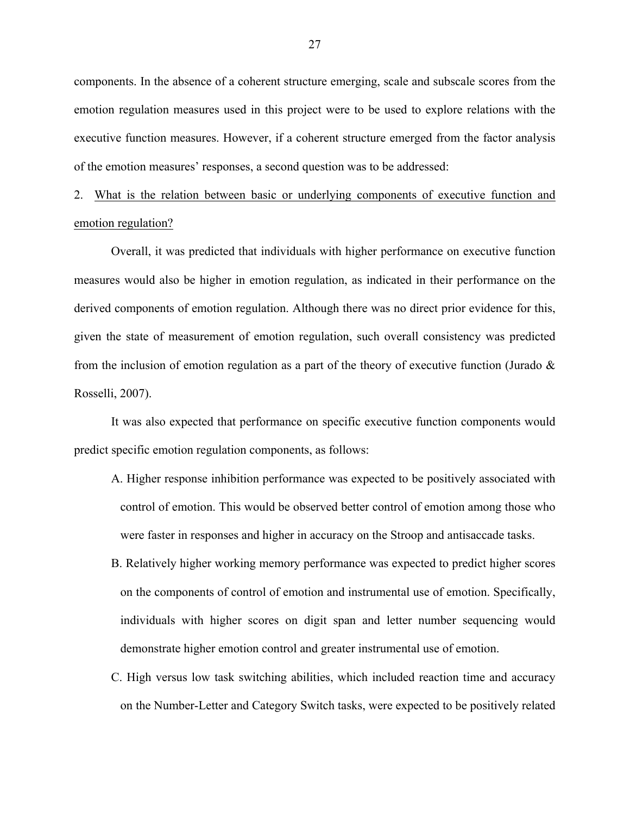components. In the absence of a coherent structure emerging, scale and subscale scores from the emotion regulation measures used in this project were to be used to explore relations with the executive function measures. However, if a coherent structure emerged from the factor analysis of the emotion measures' responses, a second question was to be addressed:

# 2. What is the relation between basic or underlying components of executive function and emotion regulation?

Overall, it was predicted that individuals with higher performance on executive function measures would also be higher in emotion regulation, as indicated in their performance on the derived components of emotion regulation. Although there was no direct prior evidence for this, given the state of measurement of emotion regulation, such overall consistency was predicted from the inclusion of emotion regulation as a part of the theory of executive function (Jurado  $\&$ Rosselli, 2007).

It was also expected that performance on specific executive function components would predict specific emotion regulation components, as follows:

- A. Higher response inhibition performance was expected to be positively associated with control of emotion. This would be observed better control of emotion among those who were faster in responses and higher in accuracy on the Stroop and antisaccade tasks.
- B. Relatively higher working memory performance was expected to predict higher scores on the components of control of emotion and instrumental use of emotion. Specifically, individuals with higher scores on digit span and letter number sequencing would demonstrate higher emotion control and greater instrumental use of emotion.
- C. High versus low task switching abilities, which included reaction time and accuracy on the Number-Letter and Category Switch tasks, were expected to be positively related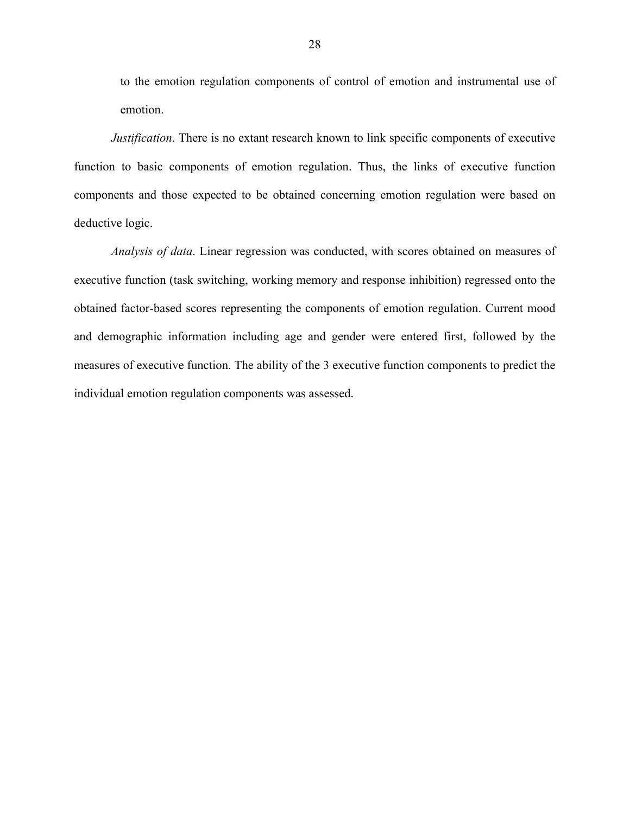to the emotion regulation components of control of emotion and instrumental use of emotion.

*Justification*. There is no extant research known to link specific components of executive function to basic components of emotion regulation. Thus, the links of executive function components and those expected to be obtained concerning emotion regulation were based on deductive logic.

*Analysis of data*. Linear regression was conducted, with scores obtained on measures of executive function (task switching, working memory and response inhibition) regressed onto the obtained factor-based scores representing the components of emotion regulation. Current mood and demographic information including age and gender were entered first, followed by the measures of executive function. The ability of the 3 executive function components to predict the individual emotion regulation components was assessed.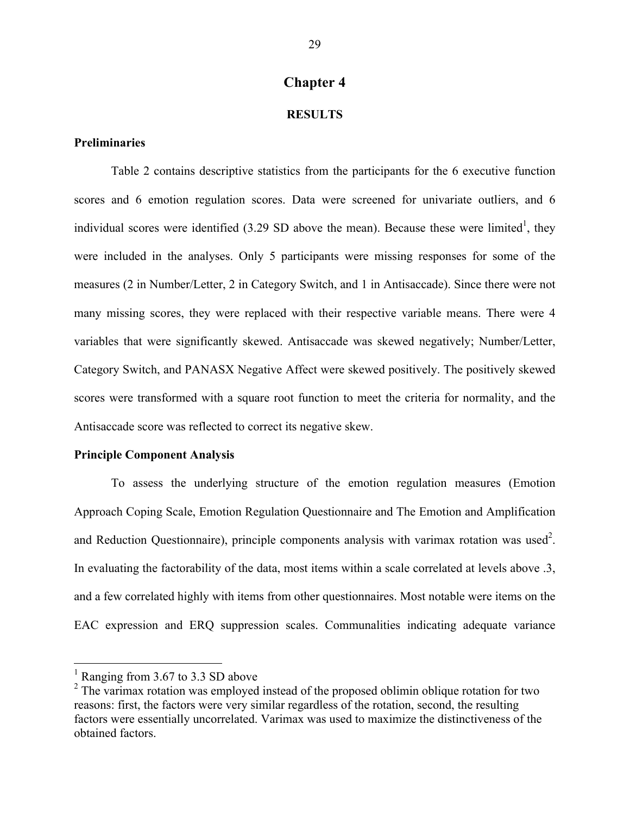## **Chapter 4**

### **RESULTS**

## **Preliminaries**

Table 2 contains descriptive statistics from the participants for the 6 executive function scores and 6 emotion regulation scores. Data were screened for univariate outliers, and 6 individual scores were identified  $(3.29 \text{ SD}$  above the mean). Because these were limited<sup>1</sup>, they were included in the analyses. Only 5 participants were missing responses for some of the measures (2 in Number/Letter, 2 in Category Switch, and 1 in Antisaccade). Since there were not many missing scores, they were replaced with their respective variable means. There were 4 variables that were significantly skewed. Antisaccade was skewed negatively; Number/Letter, Category Switch, and PANASX Negative Affect were skewed positively. The positively skewed scores were transformed with a square root function to meet the criteria for normality, and the Antisaccade score was reflected to correct its negative skew.

## **Principle Component Analysis**

To assess the underlying structure of the emotion regulation measures (Emotion Approach Coping Scale, Emotion Regulation Questionnaire and The Emotion and Amplification and Reduction Questionnaire), principle components analysis with varimax rotation was used<sup>2</sup>. In evaluating the factorability of the data, most items within a scale correlated at levels above .3, and a few correlated highly with items from other questionnaires. Most notable were items on the EAC expression and ERQ suppression scales. Communalities indicating adequate variance

 $<sup>1</sup>$  Ranging from 3.67 to 3.3 SD above</sup>

<sup>&</sup>lt;sup>2</sup> The varimax rotation was employed instead of the proposed oblimin oblique rotation for two reasons: first, the factors were very similar regardless of the rotation, second, the resulting factors were essentially uncorrelated. Varimax was used to maximize the distinctiveness of the obtained factors.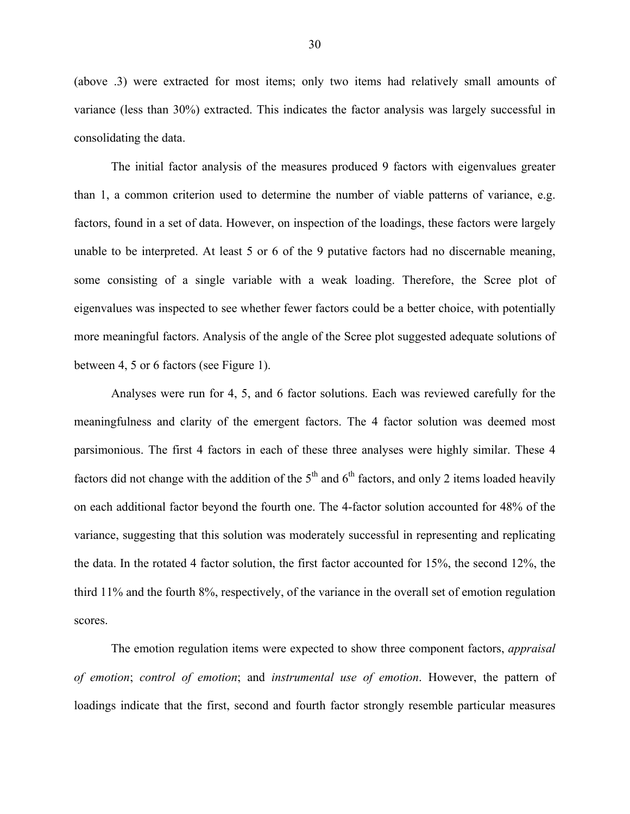(above .3) were extracted for most items; only two items had relatively small amounts of variance (less than 30%) extracted. This indicates the factor analysis was largely successful in consolidating the data.

The initial factor analysis of the measures produced 9 factors with eigenvalues greater than 1, a common criterion used to determine the number of viable patterns of variance, e.g. factors, found in a set of data. However, on inspection of the loadings, these factors were largely unable to be interpreted. At least 5 or 6 of the 9 putative factors had no discernable meaning, some consisting of a single variable with a weak loading. Therefore, the Scree plot of eigenvalues was inspected to see whether fewer factors could be a better choice, with potentially more meaningful factors. Analysis of the angle of the Scree plot suggested adequate solutions of between 4, 5 or 6 factors (see Figure 1).

Analyses were run for 4, 5, and 6 factor solutions. Each was reviewed carefully for the meaningfulness and clarity of the emergent factors. The 4 factor solution was deemed most parsimonious. The first 4 factors in each of these three analyses were highly similar. These 4 factors did not change with the addition of the  $5<sup>th</sup>$  and  $6<sup>th</sup>$  factors, and only 2 items loaded heavily on each additional factor beyond the fourth one. The 4-factor solution accounted for 48% of the variance, suggesting that this solution was moderately successful in representing and replicating the data. In the rotated 4 factor solution, the first factor accounted for 15%, the second 12%, the third 11% and the fourth 8%, respectively, of the variance in the overall set of emotion regulation scores.

The emotion regulation items were expected to show three component factors, *appraisal of emotion*; *control of emotion*; and *instrumental use of emotion*. However, the pattern of loadings indicate that the first, second and fourth factor strongly resemble particular measures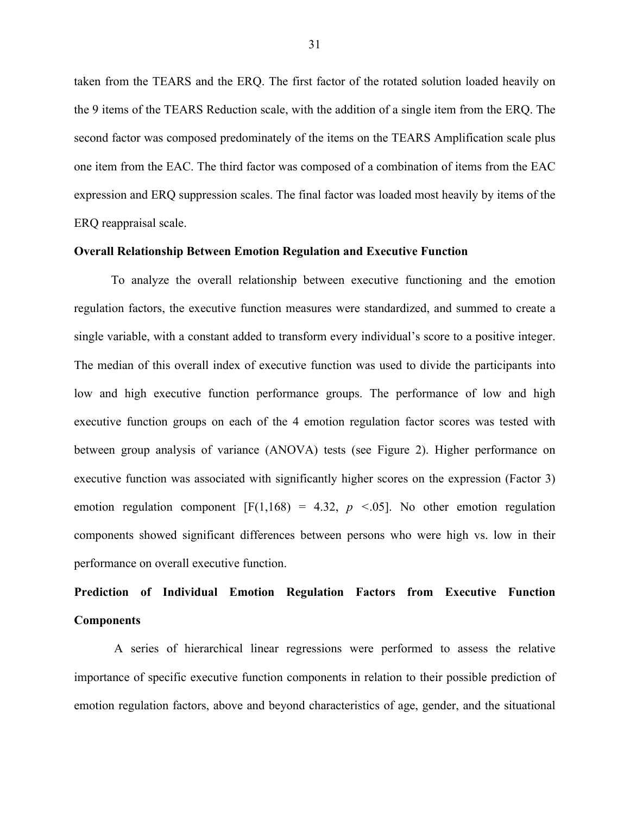taken from the TEARS and the ERQ. The first factor of the rotated solution loaded heavily on the 9 items of the TEARS Reduction scale, with the addition of a single item from the ERQ. The second factor was composed predominately of the items on the TEARS Amplification scale plus one item from the EAC. The third factor was composed of a combination of items from the EAC expression and ERQ suppression scales. The final factor was loaded most heavily by items of the ERQ reappraisal scale.

## **Overall Relationship Between Emotion Regulation and Executive Function**

To analyze the overall relationship between executive functioning and the emotion regulation factors, the executive function measures were standardized, and summed to create a single variable, with a constant added to transform every individual's score to a positive integer. The median of this overall index of executive function was used to divide the participants into low and high executive function performance groups. The performance of low and high executive function groups on each of the 4 emotion regulation factor scores was tested with between group analysis of variance (ANOVA) tests (see Figure 2). Higher performance on executive function was associated with significantly higher scores on the expression (Factor 3) emotion regulation component  $[F(1,168) = 4.32, p \lt 0.05]$ . No other emotion regulation components showed significant differences between persons who were high vs. low in their performance on overall executive function.

# **Prediction of Individual Emotion Regulation Factors from Executive Function Components**

A series of hierarchical linear regressions were performed to assess the relative importance of specific executive function components in relation to their possible prediction of emotion regulation factors, above and beyond characteristics of age, gender, and the situational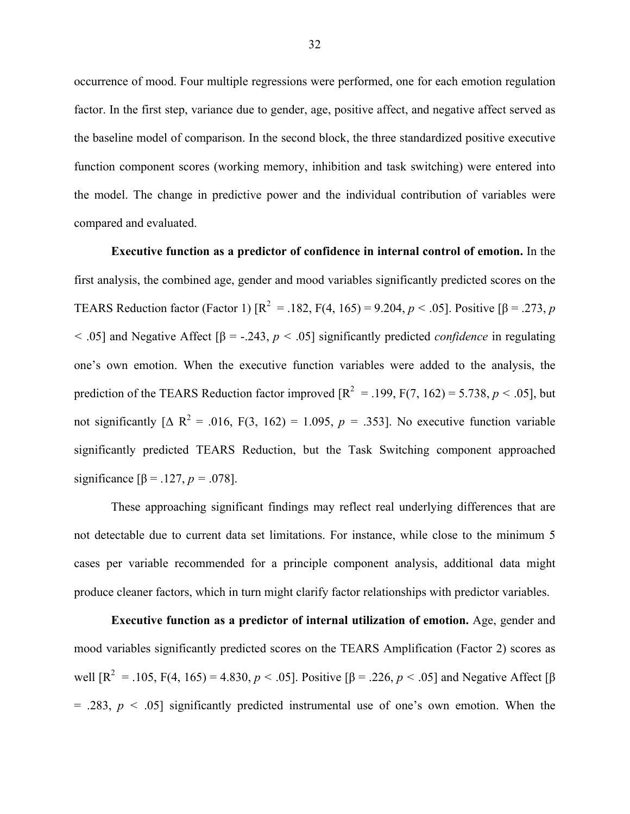occurrence of mood. Four multiple regressions were performed, one for each emotion regulation factor. In the first step, variance due to gender, age, positive affect, and negative affect served as the baseline model of comparison. In the second block, the three standardized positive executive function component scores (working memory, inhibition and task switching) were entered into the model. The change in predictive power and the individual contribution of variables were compared and evaluated.

**Executive function as a predictor of confidence in internal control of emotion.** In the first analysis, the combined age, gender and mood variables significantly predicted scores on the TEARS Reduction factor (Factor 1) [R<sup>2</sup> = .182, F(4, 165) = 9.204, *p* < .05]. Positive [β = .273, *p <* .05] and Negative Affect [β = -.243, *p <* .05] significantly predicted *confidence* in regulating one's own emotion. When the executive function variables were added to the analysis, the prediction of the TEARS Reduction factor improved  $[R^2 = .199, F(7, 162) = 5.738, p < .05]$ , but not significantly  $[\Delta R^2 = .016, F(3, 162) = 1.095, p = .353]$ . No executive function variable significantly predicted TEARS Reduction, but the Task Switching component approached significance  $[\beta = .127, p = .078]$ .

These approaching significant findings may reflect real underlying differences that are not detectable due to current data set limitations. For instance, while close to the minimum 5 cases per variable recommended for a principle component analysis, additional data might produce cleaner factors, which in turn might clarify factor relationships with predictor variables.

**Executive function as a predictor of internal utilization of emotion.** Age, gender and mood variables significantly predicted scores on the TEARS Amplification (Factor 2) scores as well  $[R^2 = .105, F(4, 165) = 4.830, p < .05]$ . Positive  $[β = .226, p < .05]$  and Negative Affect  $[β$  $=$  .283,  $p \lt 0.05$ ] significantly predicted instrumental use of one's own emotion. When the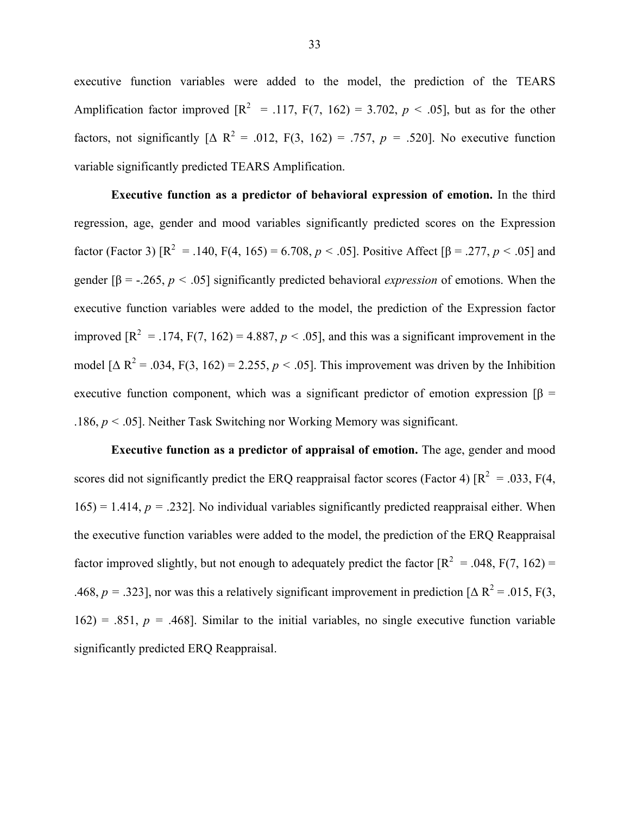executive function variables were added to the model, the prediction of the TEARS Amplification factor improved  $[R^2 = .117, F(7, 162) = 3.702, p < .05]$ , but as for the other factors, not significantly  $[\Delta \ R^2 = .012, F(3, 162) = .757, p = .520]$ . No executive function variable significantly predicted TEARS Amplification.

**Executive function as a predictor of behavioral expression of emotion.** In the third regression, age, gender and mood variables significantly predicted scores on the Expression factor (Factor 3) [R<sup>2</sup> = .140, F(4, 165) = 6.708, *p* < .05]. Positive Affect [β = .277, *p* < .05] and gender  $[\beta = -0.265, p \le 0.05]$  significantly predicted behavioral *expression* of emotions. When the executive function variables were added to the model, the prediction of the Expression factor improved  $[R^2 = .174, F(7, 162) = 4.887, p < .05]$ , and this was a significant improvement in the model  $[\Delta R^2 = .034, F(3, 162) = 2.255, p < .05]$ . This improvement was driven by the Inhibition executive function component, which was a significant predictor of emotion expression  $\beta$  = .186, *p <* .05]. Neither Task Switching nor Working Memory was significant.

**Executive function as a predictor of appraisal of emotion.** The age, gender and mood scores did not significantly predict the ERQ reappraisal factor scores (Factor 4)  $\mathbb{R}^2 = .033$ , F(4, 165) = 1.414,  $p = 0.232$ . No individual variables significantly predicted reappraisal either. When the executive function variables were added to the model, the prediction of the ERQ Reappraisal factor improved slightly, but not enough to adequately predict the factor  $\mathbb{R}^2 = 0.048$ ,  $F(7, 162) =$ .468,  $p = .323$ ], nor was this a relatively significant improvement in prediction [ $\Delta R^2 = .015$ , F(3, 162) = .851,  $p = .468$ . Similar to the initial variables, no single executive function variable significantly predicted ERQ Reappraisal.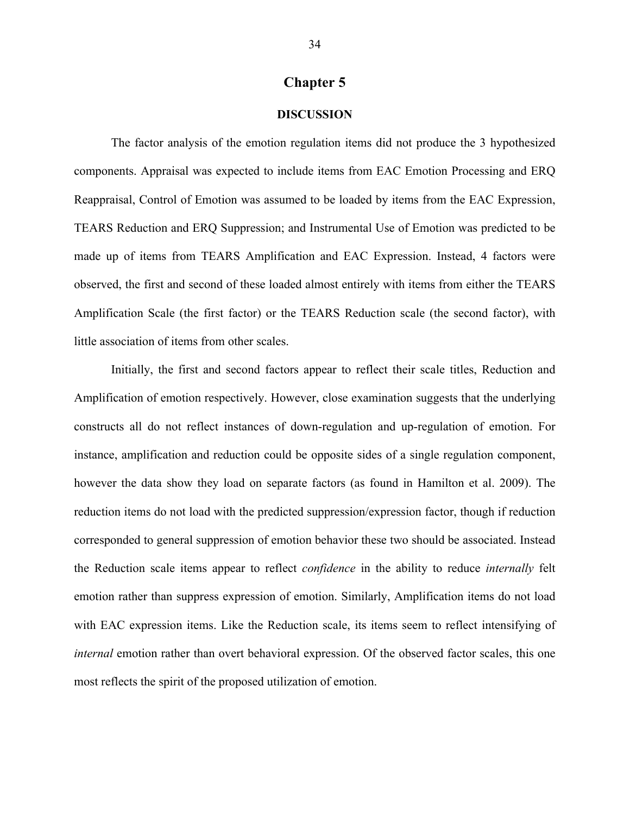## **Chapter 5**

## **DISCUSSION**

The factor analysis of the emotion regulation items did not produce the 3 hypothesized components. Appraisal was expected to include items from EAC Emotion Processing and ERQ Reappraisal, Control of Emotion was assumed to be loaded by items from the EAC Expression, TEARS Reduction and ERQ Suppression; and Instrumental Use of Emotion was predicted to be made up of items from TEARS Amplification and EAC Expression. Instead, 4 factors were observed, the first and second of these loaded almost entirely with items from either the TEARS Amplification Scale (the first factor) or the TEARS Reduction scale (the second factor), with little association of items from other scales.

Initially, the first and second factors appear to reflect their scale titles, Reduction and Amplification of emotion respectively. However, close examination suggests that the underlying constructs all do not reflect instances of down-regulation and up-regulation of emotion. For instance, amplification and reduction could be opposite sides of a single regulation component, however the data show they load on separate factors (as found in Hamilton et al. 2009). The reduction items do not load with the predicted suppression/expression factor, though if reduction corresponded to general suppression of emotion behavior these two should be associated. Instead the Reduction scale items appear to reflect *confidence* in the ability to reduce *internally* felt emotion rather than suppress expression of emotion. Similarly, Amplification items do not load with EAC expression items. Like the Reduction scale, its items seem to reflect intensifying of *internal* emotion rather than overt behavioral expression. Of the observed factor scales, this one most reflects the spirit of the proposed utilization of emotion.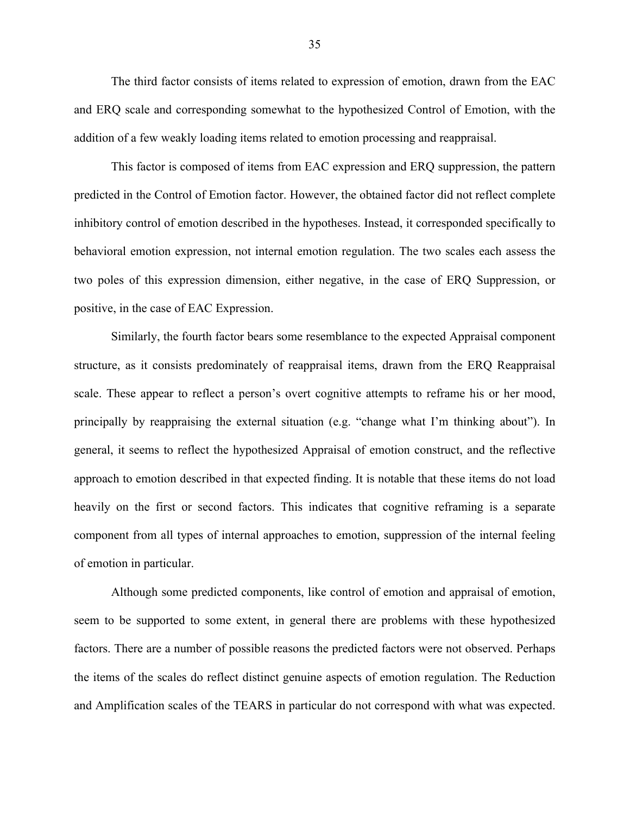The third factor consists of items related to expression of emotion, drawn from the EAC and ERQ scale and corresponding somewhat to the hypothesized Control of Emotion, with the addition of a few weakly loading items related to emotion processing and reappraisal.

This factor is composed of items from EAC expression and ERQ suppression, the pattern predicted in the Control of Emotion factor. However, the obtained factor did not reflect complete inhibitory control of emotion described in the hypotheses. Instead, it corresponded specifically to behavioral emotion expression, not internal emotion regulation. The two scales each assess the two poles of this expression dimension, either negative, in the case of ERQ Suppression, or positive, in the case of EAC Expression.

Similarly, the fourth factor bears some resemblance to the expected Appraisal component structure, as it consists predominately of reappraisal items, drawn from the ERQ Reappraisal scale. These appear to reflect a person's overt cognitive attempts to reframe his or her mood, principally by reappraising the external situation (e.g. "change what I'm thinking about"). In general, it seems to reflect the hypothesized Appraisal of emotion construct, and the reflective approach to emotion described in that expected finding. It is notable that these items do not load heavily on the first or second factors. This indicates that cognitive reframing is a separate component from all types of internal approaches to emotion, suppression of the internal feeling of emotion in particular.

Although some predicted components, like control of emotion and appraisal of emotion, seem to be supported to some extent, in general there are problems with these hypothesized factors. There are a number of possible reasons the predicted factors were not observed. Perhaps the items of the scales do reflect distinct genuine aspects of emotion regulation. The Reduction and Amplification scales of the TEARS in particular do not correspond with what was expected.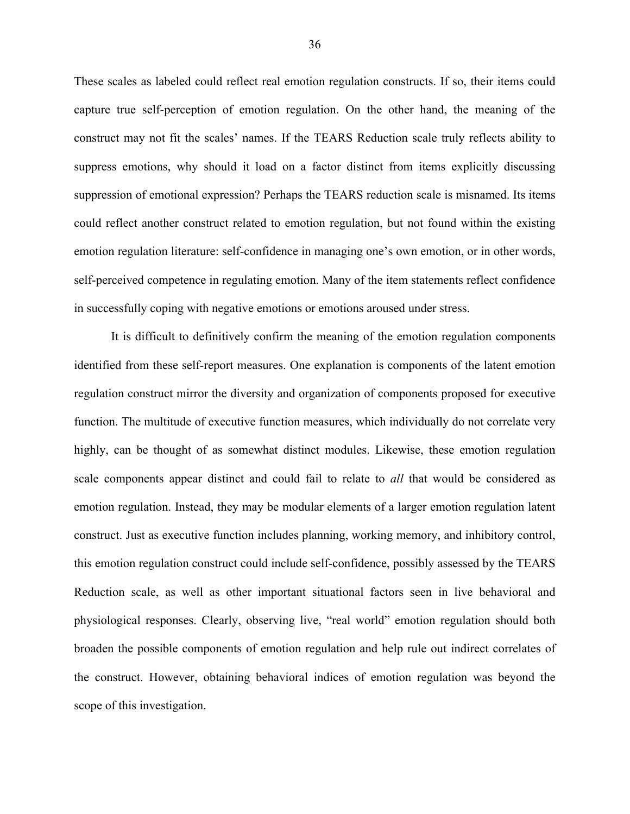These scales as labeled could reflect real emotion regulation constructs. If so, their items could capture true self-perception of emotion regulation. On the other hand, the meaning of the construct may not fit the scales' names. If the TEARS Reduction scale truly reflects ability to suppress emotions, why should it load on a factor distinct from items explicitly discussing suppression of emotional expression? Perhaps the TEARS reduction scale is misnamed. Its items could reflect another construct related to emotion regulation, but not found within the existing emotion regulation literature: self-confidence in managing one's own emotion, or in other words, self-perceived competence in regulating emotion. Many of the item statements reflect confidence in successfully coping with negative emotions or emotions aroused under stress.

It is difficult to definitively confirm the meaning of the emotion regulation components identified from these self-report measures. One explanation is components of the latent emotion regulation construct mirror the diversity and organization of components proposed for executive function. The multitude of executive function measures, which individually do not correlate very highly, can be thought of as somewhat distinct modules. Likewise, these emotion regulation scale components appear distinct and could fail to relate to *all* that would be considered as emotion regulation. Instead, they may be modular elements of a larger emotion regulation latent construct. Just as executive function includes planning, working memory, and inhibitory control, this emotion regulation construct could include self-confidence, possibly assessed by the TEARS Reduction scale, as well as other important situational factors seen in live behavioral and physiological responses. Clearly, observing live, "real world" emotion regulation should both broaden the possible components of emotion regulation and help rule out indirect correlates of the construct. However, obtaining behavioral indices of emotion regulation was beyond the scope of this investigation.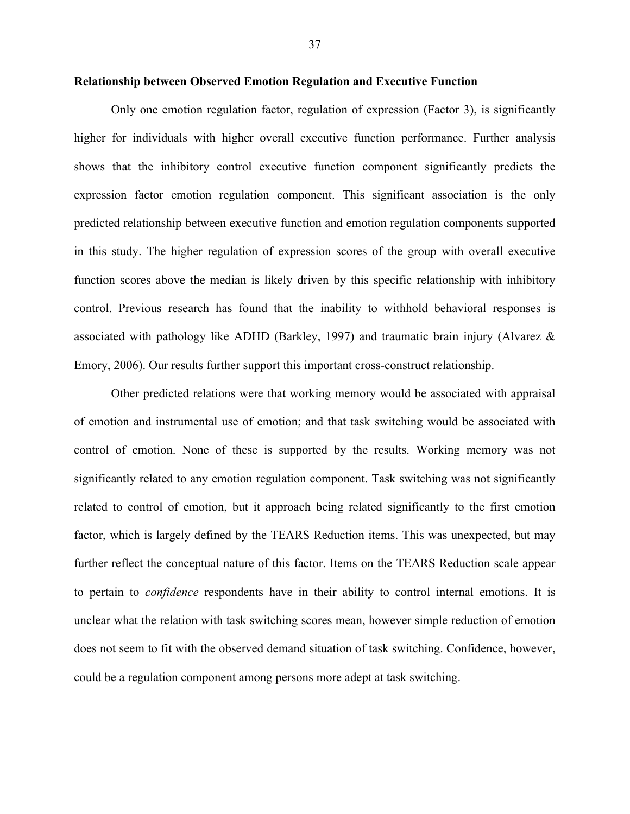#### **Relationship between Observed Emotion Regulation and Executive Function**

Only one emotion regulation factor, regulation of expression (Factor 3), is significantly higher for individuals with higher overall executive function performance. Further analysis shows that the inhibitory control executive function component significantly predicts the expression factor emotion regulation component. This significant association is the only predicted relationship between executive function and emotion regulation components supported in this study. The higher regulation of expression scores of the group with overall executive function scores above the median is likely driven by this specific relationship with inhibitory control. Previous research has found that the inability to withhold behavioral responses is associated with pathology like ADHD (Barkley, 1997) and traumatic brain injury (Alvarez & Emory, 2006). Our results further support this important cross-construct relationship.

Other predicted relations were that working memory would be associated with appraisal of emotion and instrumental use of emotion; and that task switching would be associated with control of emotion. None of these is supported by the results. Working memory was not significantly related to any emotion regulation component. Task switching was not significantly related to control of emotion, but it approach being related significantly to the first emotion factor, which is largely defined by the TEARS Reduction items. This was unexpected, but may further reflect the conceptual nature of this factor. Items on the TEARS Reduction scale appear to pertain to *confidence* respondents have in their ability to control internal emotions. It is unclear what the relation with task switching scores mean, however simple reduction of emotion does not seem to fit with the observed demand situation of task switching. Confidence, however, could be a regulation component among persons more adept at task switching.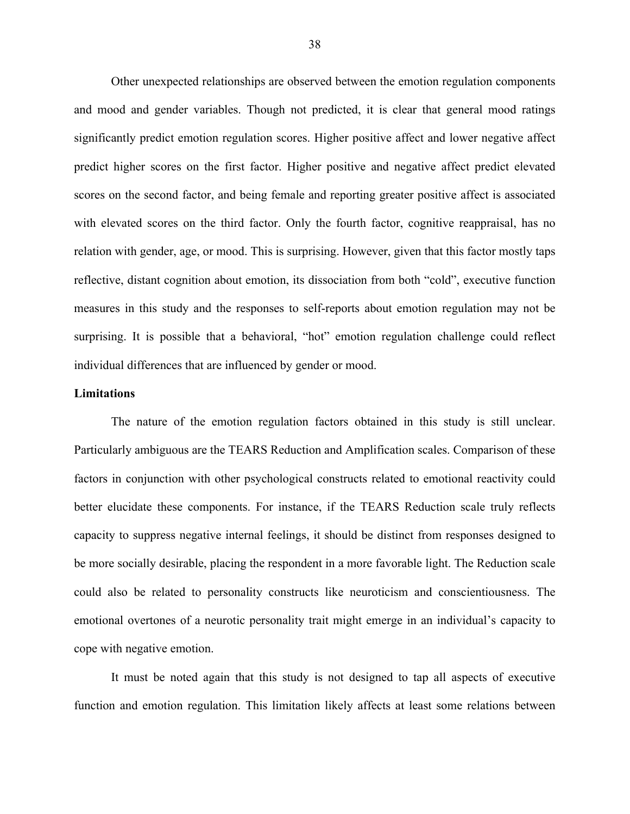Other unexpected relationships are observed between the emotion regulation components and mood and gender variables. Though not predicted, it is clear that general mood ratings significantly predict emotion regulation scores. Higher positive affect and lower negative affect predict higher scores on the first factor. Higher positive and negative affect predict elevated scores on the second factor, and being female and reporting greater positive affect is associated with elevated scores on the third factor. Only the fourth factor, cognitive reappraisal, has no relation with gender, age, or mood. This is surprising. However, given that this factor mostly taps reflective, distant cognition about emotion, its dissociation from both "cold", executive function measures in this study and the responses to self-reports about emotion regulation may not be surprising. It is possible that a behavioral, "hot" emotion regulation challenge could reflect individual differences that are influenced by gender or mood.

#### **Limitations**

The nature of the emotion regulation factors obtained in this study is still unclear. Particularly ambiguous are the TEARS Reduction and Amplification scales. Comparison of these factors in conjunction with other psychological constructs related to emotional reactivity could better elucidate these components. For instance, if the TEARS Reduction scale truly reflects capacity to suppress negative internal feelings, it should be distinct from responses designed to be more socially desirable, placing the respondent in a more favorable light. The Reduction scale could also be related to personality constructs like neuroticism and conscientiousness. The emotional overtones of a neurotic personality trait might emerge in an individual's capacity to cope with negative emotion.

It must be noted again that this study is not designed to tap all aspects of executive function and emotion regulation. This limitation likely affects at least some relations between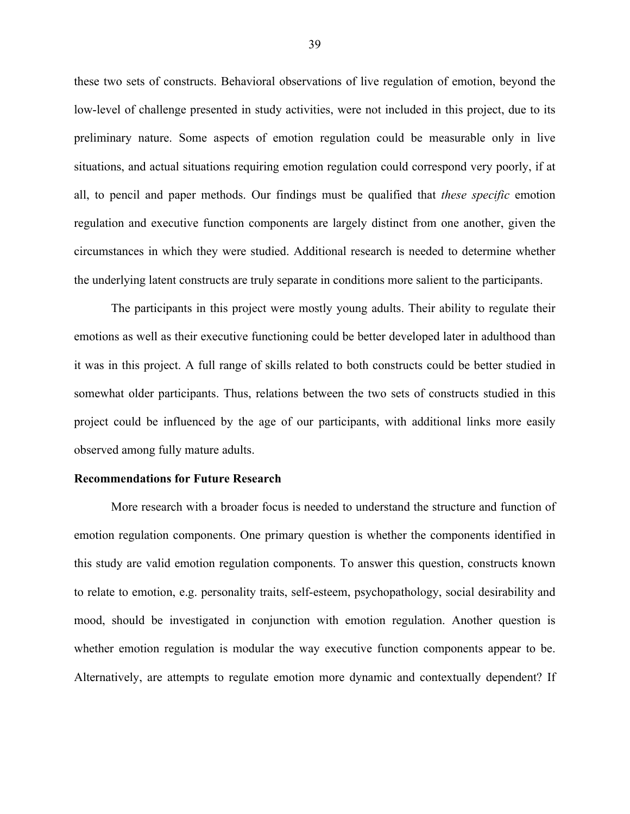these two sets of constructs. Behavioral observations of live regulation of emotion, beyond the low-level of challenge presented in study activities, were not included in this project, due to its preliminary nature. Some aspects of emotion regulation could be measurable only in live situations, and actual situations requiring emotion regulation could correspond very poorly, if at all, to pencil and paper methods. Our findings must be qualified that *these specific* emotion regulation and executive function components are largely distinct from one another, given the circumstances in which they were studied. Additional research is needed to determine whether the underlying latent constructs are truly separate in conditions more salient to the participants.

The participants in this project were mostly young adults. Their ability to regulate their emotions as well as their executive functioning could be better developed later in adulthood than it was in this project. A full range of skills related to both constructs could be better studied in somewhat older participants. Thus, relations between the two sets of constructs studied in this project could be influenced by the age of our participants, with additional links more easily observed among fully mature adults.

#### **Recommendations for Future Research**

More research with a broader focus is needed to understand the structure and function of emotion regulation components. One primary question is whether the components identified in this study are valid emotion regulation components. To answer this question, constructs known to relate to emotion, e.g. personality traits, self-esteem, psychopathology, social desirability and mood, should be investigated in conjunction with emotion regulation. Another question is whether emotion regulation is modular the way executive function components appear to be. Alternatively, are attempts to regulate emotion more dynamic and contextually dependent? If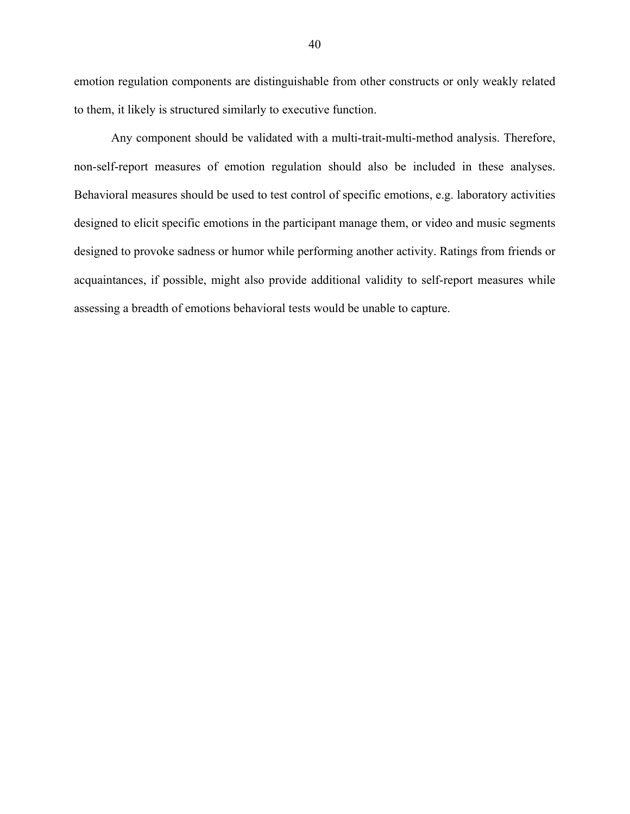emotion regulation components are distinguishable from other constructs or only weakly related to them, it likely is structured similarly to executive function.

Any component should be validated with a multi-trait-multi-method analysis. Therefore, non-self-report measures of emotion regulation should also be included in these analyses. Behavioral measures should be used to test control of specific emotions, e.g. laboratory activities designed to elicit specific emotions in the participant manage them, or video and music segments designed to provoke sadness or humor while performing another activity. Ratings from friends or acquaintances, if possible, might also provide additional validity to self-report measures while assessing a breadth of emotions behavioral tests would be unable to capture.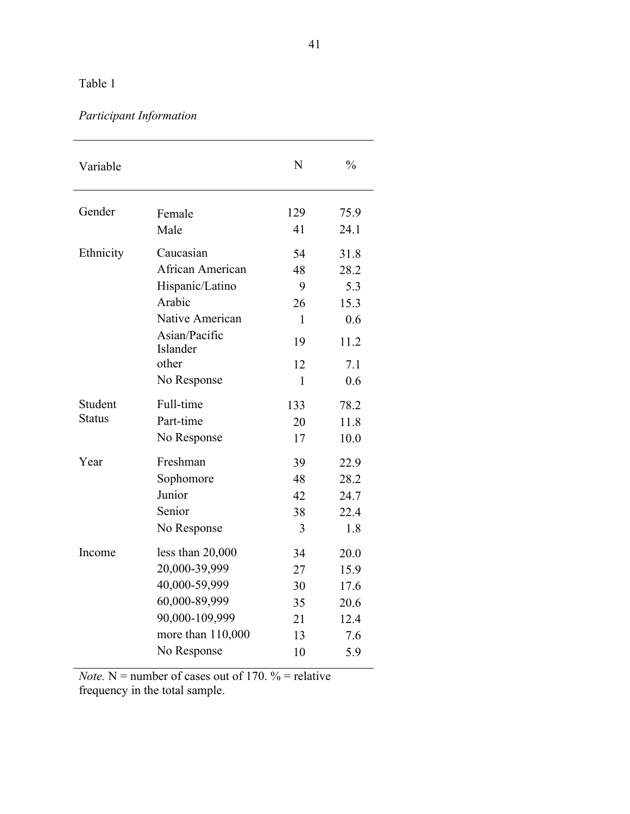# *Participant Information*

| Variable      |                           | N   | $\frac{0}{0}$ |
|---------------|---------------------------|-----|---------------|
| Gender        | Female                    | 129 | 75.9          |
|               | Male                      | 41  | 24.1          |
| Ethnicity     | Caucasian                 | 54  | 31.8          |
|               | African American          | 48  | 28.2          |
|               | Hispanic/Latino           | 9   | 5.3           |
|               | Arabic                    | 26  | 15.3          |
|               | Native American           | 1   | 0.6           |
|               | Asian/Pacific<br>Islander | 19  | 11.2          |
|               | other                     | 12  | 7.1           |
|               | No Response               | 1   | 0.6           |
| Student       | Full-time                 | 133 | 78.2          |
| <b>Status</b> | Part-time                 | 20  | 11.8          |
|               | No Response               | 17  | 10.0          |
| Year          | Freshman                  | 39  | 22.9          |
|               | Sophomore                 | 48  | 28.2          |
|               | Junior                    | 42  | 24.7          |
|               | Senior                    | 38  | 22.4          |
|               | No Response               | 3   | 1.8           |
| Income        | less than $20,000$        | 34  | 20.0          |
|               | 20,000-39,999             | 27  | 15.9          |
|               | 40,000-59,999             | 30  | 17.6          |
|               | 60,000-89,999             | 35  | 20.6          |
|               | 90,000-109,999            | 21  | 12.4          |
|               | more than 110,000         | 13  | 7.6           |
|               | No Response               | 10  | 5.9           |

*Note.* N = number of cases out of 170.  $\%$  = relative frequency in the total sample.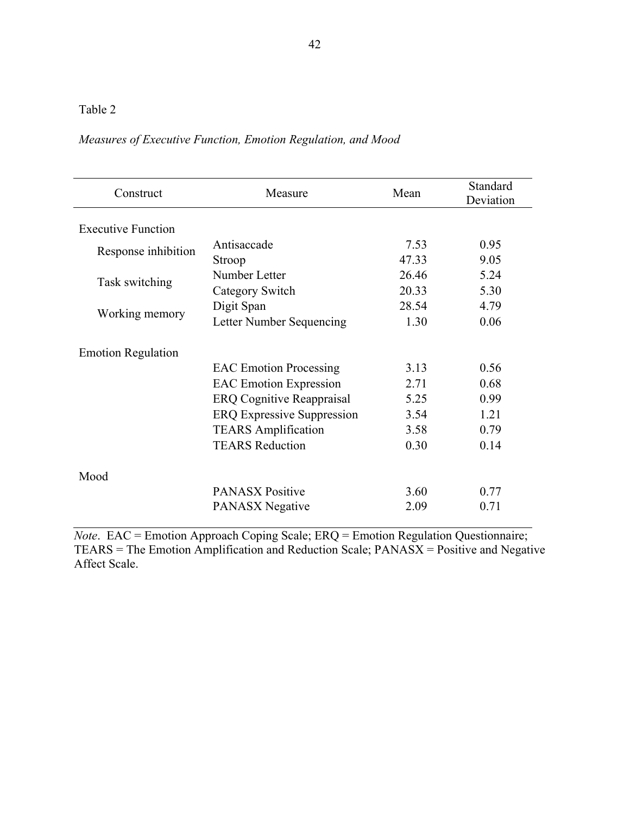## *Measures of Executive Function, Emotion Regulation, and Mood*

| Construct                 | Measure                           |       | Standard<br>Deviation |
|---------------------------|-----------------------------------|-------|-----------------------|
| <b>Executive Function</b> |                                   |       |                       |
| Response inhibition       | Antisaccade                       | 7.53  | 0.95                  |
|                           | Stroop                            | 47.33 | 9.05                  |
| Task switching            | Number Letter                     | 26.46 | 5.24                  |
|                           | <b>Category Switch</b>            | 20.33 | 5.30                  |
| Working memory            | Digit Span                        | 28.54 | 4.79                  |
|                           | Letter Number Sequencing          | 1.30  | 0.06                  |
| <b>Emotion Regulation</b> |                                   |       |                       |
|                           | <b>EAC Emotion Processing</b>     | 3.13  | 0.56                  |
|                           | <b>EAC</b> Emotion Expression     | 2.71  | 0.68                  |
|                           | <b>ERQ Cognitive Reappraisal</b>  | 5.25  | 0.99                  |
|                           | <b>ERQ Expressive Suppression</b> | 3.54  | 1.21                  |
|                           | <b>TEARS</b> Amplification        | 3.58  | 0.79                  |
|                           | <b>TEARS Reduction</b>            | 0.30  | 0.14                  |
|                           |                                   |       |                       |
| Mood                      | <b>PANASX Positive</b>            | 3.60  | 0.77                  |
|                           | <b>PANASX</b> Negative            | 2.09  | 0.71                  |

*Note*. EAC = Emotion Approach Coping Scale; ERQ = Emotion Regulation Questionnaire; TEARS = The Emotion Amplification and Reduction Scale; PANASX = Positive and Negative Affect Scale.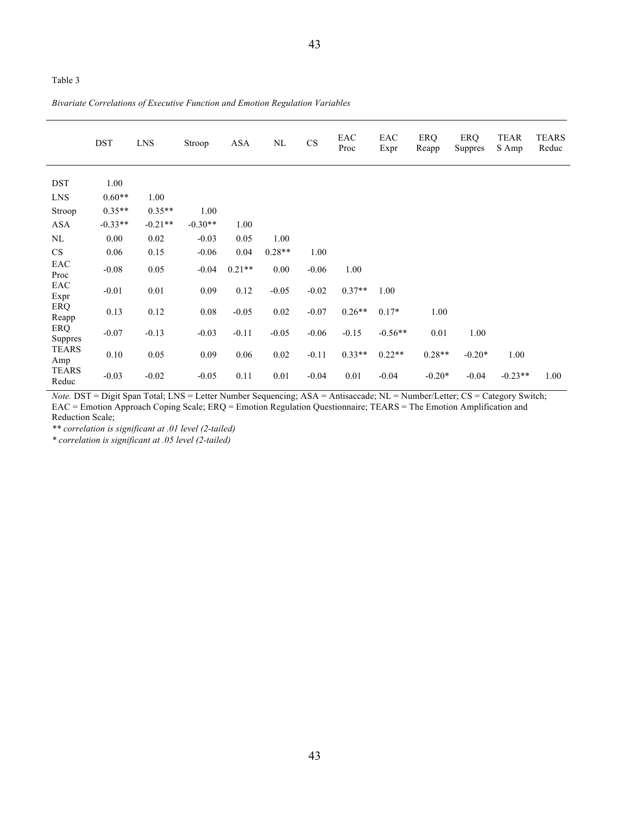|                       | <b>DST</b> | <b>LNS</b> | Stroop    | <b>ASA</b> | NL       | $\mathbf{C}\mathbf{S}$ | EAC<br>Proc | EAC<br>Expr | ERQ<br>Reapp | ERQ<br><b>Suppres</b> | TEAR<br>S Amp | <b>TEARS</b><br>Reduc |
|-----------------------|------------|------------|-----------|------------|----------|------------------------|-------------|-------------|--------------|-----------------------|---------------|-----------------------|
| <b>DST</b>            | 1.00       |            |           |            |          |                        |             |             |              |                       |               |                       |
| <b>LNS</b>            | $0.60**$   | 1.00       |           |            |          |                        |             |             |              |                       |               |                       |
| Stroop                | $0.35**$   | $0.35**$   | 1.00      |            |          |                        |             |             |              |                       |               |                       |
| <b>ASA</b>            | $-0.33**$  | $-0.21**$  | $-0.30**$ | 1.00       |          |                        |             |             |              |                       |               |                       |
| NL                    | 0.00       | 0.02       | $-0.03$   | 0.05       | 1.00     |                        |             |             |              |                       |               |                       |
| <b>CS</b>             | 0.06       | 0.15       | $-0.06$   | 0.04       | $0.28**$ | 1.00                   |             |             |              |                       |               |                       |
| EAC<br>Proc           | $-0.08$    | 0.05       | $-0.04$   | $0.21**$   | 0.00     | $-0.06$                | 1.00        |             |              |                       |               |                       |
| EAC<br>Expr           | $-0.01$    | 0.01       | 0.09      | 0.12       | $-0.05$  | $-0.02$                | $0.37**$    | 1.00        |              |                       |               |                       |
| ERQ<br>Reapp          | 0.13       | 0.12       | 0.08      | $-0.05$    | 0.02     | $-0.07$                | $0.26**$    | $0.17*$     | 1.00         |                       |               |                       |
| ERQ<br><b>Suppres</b> | $-0.07$    | $-0.13$    | $-0.03$   | $-0.11$    | $-0.05$  | $-0.06$                | $-0.15$     | $-0.56**$   | 0.01         | 1.00                  |               |                       |
| <b>TEARS</b><br>Amp   | 0.10       | 0.05       | 0.09      | 0.06       | 0.02     | $-0.11$                | $0.33**$    | $0.22**$    | $0.28**$     | $-0.20*$              | 1.00          |                       |
| <b>TEARS</b><br>Reduc | $-0.03$    | $-0.02$    | $-0.05$   | 0.11       | 0.01     | $-0.04$                | 0.01        | $-0.04$     | $-0.20*$     | $-0.04$               | $-0.23**$     | 1.00                  |

*Note.* DST = Digit Span Total; LNS = Letter Number Sequencing; ASA = Antisaccade; NL = Number/Letter; CS = Category Switch; EAC = Emotion Approach Coping Scale; ERQ = Emotion Regulation Questionnaire; TEARS = The Emotion Amplification and Reduction Scale;

*\*\* correlation is significant at .01 level (2-tailed)*

*\* correlation is significant at .05 level (2-tailed)*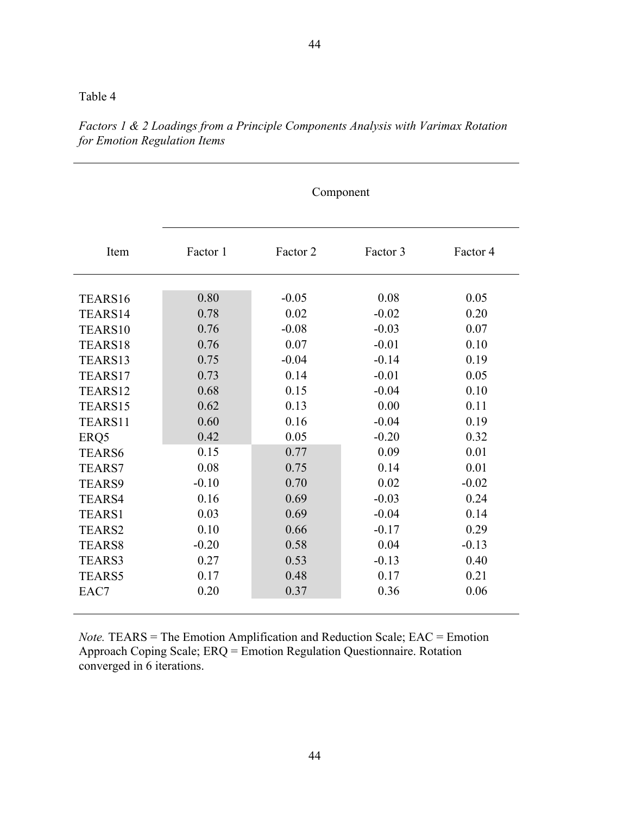*Factors 1 & 2 Loadings from a Principle Components Analysis with Varimax Rotation for Emotion Regulation Items*

|               | Component |          |          |          |  |  |  |  |
|---------------|-----------|----------|----------|----------|--|--|--|--|
|               |           |          |          |          |  |  |  |  |
| Item          | Factor 1  | Factor 2 | Factor 3 | Factor 4 |  |  |  |  |
|               |           |          |          |          |  |  |  |  |
| TEARS16       | 0.80      | $-0.05$  | 0.08     | 0.05     |  |  |  |  |
| TEARS14       | 0.78      | 0.02     | $-0.02$  | 0.20     |  |  |  |  |
| TEARS10       | 0.76      | $-0.08$  | $-0.03$  | 0.07     |  |  |  |  |
| TEARS18       | 0.76      | 0.07     | $-0.01$  | 0.10     |  |  |  |  |
| TEARS13       | 0.75      | $-0.04$  | $-0.14$  | 0.19     |  |  |  |  |
| TEARS17       | 0.73      | 0.14     | $-0.01$  | 0.05     |  |  |  |  |
| TEARS12       | 0.68      | 0.15     | $-0.04$  | 0.10     |  |  |  |  |
| TEARS15       | 0.62      | 0.13     | 0.00     | 0.11     |  |  |  |  |
| TEARS11       | 0.60      | 0.16     | $-0.04$  | 0.19     |  |  |  |  |
| ERQ5          | 0.42      | 0.05     | $-0.20$  | 0.32     |  |  |  |  |
| <b>TEARS6</b> | 0.15      | 0.77     | 0.09     | 0.01     |  |  |  |  |
| <b>TEARS7</b> | 0.08      | 0.75     | 0.14     | 0.01     |  |  |  |  |
| <b>TEARS9</b> | $-0.10$   | 0.70     | 0.02     | $-0.02$  |  |  |  |  |
| <b>TEARS4</b> | 0.16      | 0.69     | $-0.03$  | 0.24     |  |  |  |  |
| <b>TEARS1</b> | 0.03      | 0.69     | $-0.04$  | 0.14     |  |  |  |  |
| TEARS2        | 0.10      | 0.66     | $-0.17$  | 0.29     |  |  |  |  |
| <b>TEARS8</b> | $-0.20$   | 0.58     | 0.04     | $-0.13$  |  |  |  |  |
| <b>TEARS3</b> | 0.27      | 0.53     | $-0.13$  | 0.40     |  |  |  |  |
| <b>TEARS5</b> | 0.17      | 0.48     | 0.17     | 0.21     |  |  |  |  |
| EAC7          | 0.20      | 0.37     | 0.36     | 0.06     |  |  |  |  |

*Note.* TEARS = The Emotion Amplification and Reduction Scale; EAC = Emotion Approach Coping Scale; ERQ = Emotion Regulation Questionnaire. Rotation converged in 6 iterations.

44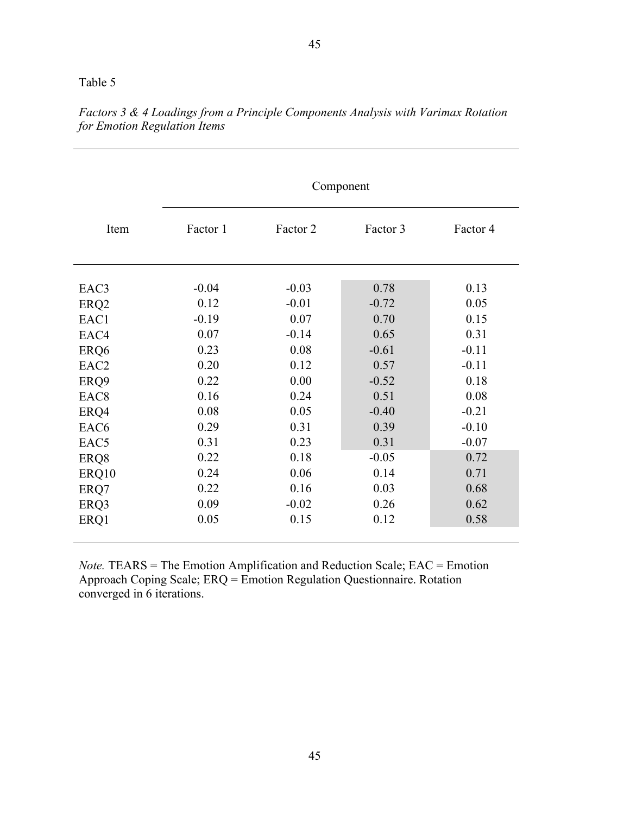|                  | Component |          |          |          |  |  |  |  |
|------------------|-----------|----------|----------|----------|--|--|--|--|
| Item             | Factor 1  | Factor 2 | Factor 3 | Factor 4 |  |  |  |  |
| EAC3             | $-0.04$   | $-0.03$  | 0.78     | 0.13     |  |  |  |  |
| ERQ <sub>2</sub> | 0.12      | $-0.01$  | $-0.72$  | 0.05     |  |  |  |  |
| EAC1             | $-0.19$   | 0.07     | 0.70     | 0.15     |  |  |  |  |
| EAC4             | 0.07      | $-0.14$  | 0.65     | 0.31     |  |  |  |  |
| ERQ6             | 0.23      | 0.08     | $-0.61$  | $-0.11$  |  |  |  |  |
| EAC <sub>2</sub> | 0.20      | 0.12     | 0.57     | $-0.11$  |  |  |  |  |
| ERQ9             | 0.22      | 0.00     | $-0.52$  | 0.18     |  |  |  |  |
| EAC <sub>8</sub> | 0.16      | 0.24     | 0.51     | 0.08     |  |  |  |  |
| ERQ4             | 0.08      | 0.05     | $-0.40$  | $-0.21$  |  |  |  |  |
| EAC <sub>6</sub> | 0.29      | 0.31     | 0.39     | $-0.10$  |  |  |  |  |
| EAC5             | 0.31      | 0.23     | 0.31     | $-0.07$  |  |  |  |  |
| ERQ8             | 0.22      | 0.18     | $-0.05$  | 0.72     |  |  |  |  |
| ERQ10            | 0.24      | 0.06     | 0.14     | 0.71     |  |  |  |  |
| ERQ7             | 0.22      | 0.16     | 0.03     | 0.68     |  |  |  |  |
| ERQ3             | 0.09      | $-0.02$  | 0.26     | 0.62     |  |  |  |  |
| ERQ1             | 0.05      | 0.15     | 0.12     | 0.58     |  |  |  |  |
|                  |           |          |          |          |  |  |  |  |

| Factors 3 & 4 Loadings from a Principle Components Analysis with Varimax Rotation |  |  |
|-----------------------------------------------------------------------------------|--|--|
| for Emotion Regulation Items                                                      |  |  |

45

*Note.* TEARS = The Emotion Amplification and Reduction Scale; EAC = Emotion Approach Coping Scale; ERQ = Emotion Regulation Questionnaire. Rotation converged in 6 iterations.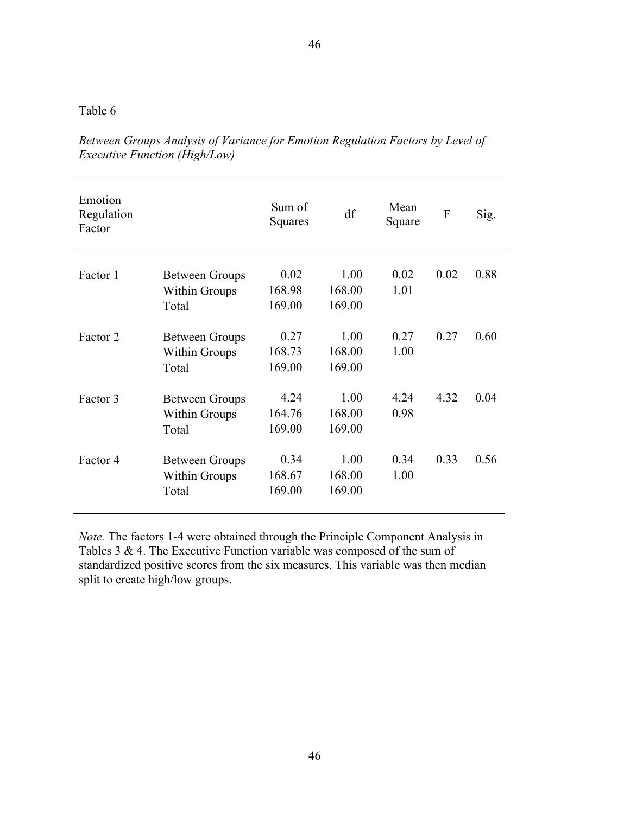| Emotion<br>Regulation<br>Factor |                                                        | Sum of<br>Squares        | df                       | Mean<br>Square | F    | Sig. |
|---------------------------------|--------------------------------------------------------|--------------------------|--------------------------|----------------|------|------|
| Factor 1                        | <b>Between Groups</b><br><b>Within Groups</b><br>Total | 0.02<br>168.98<br>169.00 | 1.00<br>168.00<br>169.00 | 0.02<br>1.01   | 0.02 | 0.88 |
| Factor 2                        | <b>Between Groups</b><br><b>Within Groups</b><br>Total | 0.27<br>168.73<br>169.00 | 1.00<br>168.00<br>169.00 | 0.27<br>1.00   | 0.27 | 0.60 |
| Factor 3                        | <b>Between Groups</b><br><b>Within Groups</b><br>Total | 4.24<br>164.76<br>169.00 | 1.00<br>168.00<br>169.00 | 4.24<br>0.98   | 4.32 | 0.04 |
| Factor 4                        | <b>Between Groups</b><br><b>Within Groups</b><br>Total | 0.34<br>168.67<br>169.00 | 1.00<br>168.00<br>169.00 | 0.34<br>1.00   | 0.33 | 0.56 |

*Between Groups Analysis of Variance for Emotion Regulation Factors by Level of Executive Function (High/Low)* 

*Note.* The factors 1-4 were obtained through the Principle Component Analysis in Tables 3 & 4. The Executive Function variable was composed of the sum of standardized positive scores from the six measures. This variable was then median split to create high/low groups.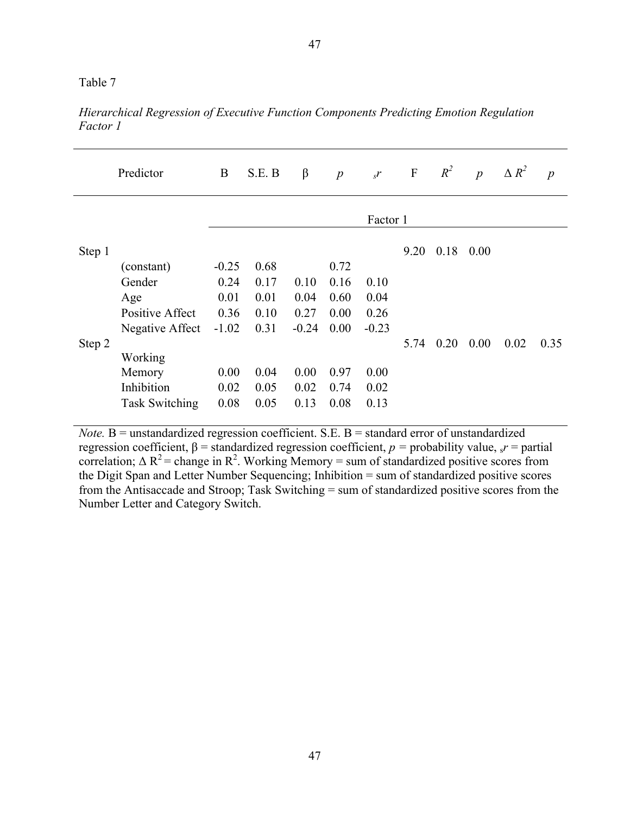|        | Predictor              | B       | S.E. B | $\beta$ | $\boldsymbol{p}$ | $\,$ s $\,$ r | $\mathbf F$ | $R^2$ | $\boldsymbol{p}$ | $\Delta R^2$ | $\boldsymbol{p}$ |
|--------|------------------------|---------|--------|---------|------------------|---------------|-------------|-------|------------------|--------------|------------------|
|        |                        |         |        |         |                  | Factor 1      |             |       |                  |              |                  |
| Step 1 |                        |         |        |         |                  |               | 9.20        | 0.18  | 0.00             |              |                  |
|        | (constant)             | $-0.25$ | 0.68   |         | 0.72             |               |             |       |                  |              |                  |
|        | Gender                 | 0.24    | 0.17   | 0.10    | 0.16             | 0.10          |             |       |                  |              |                  |
|        | Age                    | 0.01    | 0.01   | 0.04    | 0.60             | 0.04          |             |       |                  |              |                  |
|        | <b>Positive Affect</b> | 0.36    | 0.10   | 0.27    | 0.00             | 0.26          |             |       |                  |              |                  |
|        | Negative Affect        | $-1.02$ | 0.31   | $-0.24$ | 0.00             | $-0.23$       |             |       |                  |              |                  |
| Step 2 |                        |         |        |         |                  |               | 5.74        | 0.20  | 0.00             | 0.02         | 0.35             |
|        | Working                |         |        |         |                  |               |             |       |                  |              |                  |
|        | Memory                 | 0.00    | 0.04   | 0.00    | 0.97             | 0.00          |             |       |                  |              |                  |
|        | Inhibition             | 0.02    | 0.05   | 0.02    | 0.74             | 0.02          |             |       |                  |              |                  |
|        | <b>Task Switching</b>  | 0.08    | 0.05   | 0.13    | 0.08             | 0.13          |             |       |                  |              |                  |

*Hierarchical Regression of Executive Function Components Predicting Emotion Regulation Factor 1* 

*Note.* B = unstandardized regression coefficient. S.E. B = standard error of unstandardized regression coefficient,  $β = standardized regression coefficient, p = probability value, s = partial$ correlation;  $\Delta R^2$  = change in R<sup>2</sup>. Working Memory = sum of standardized positive scores from the Digit Span and Letter Number Sequencing; Inhibition = sum of standardized positive scores from the Antisaccade and Stroop; Task Switching = sum of standardized positive scores from the Number Letter and Category Switch.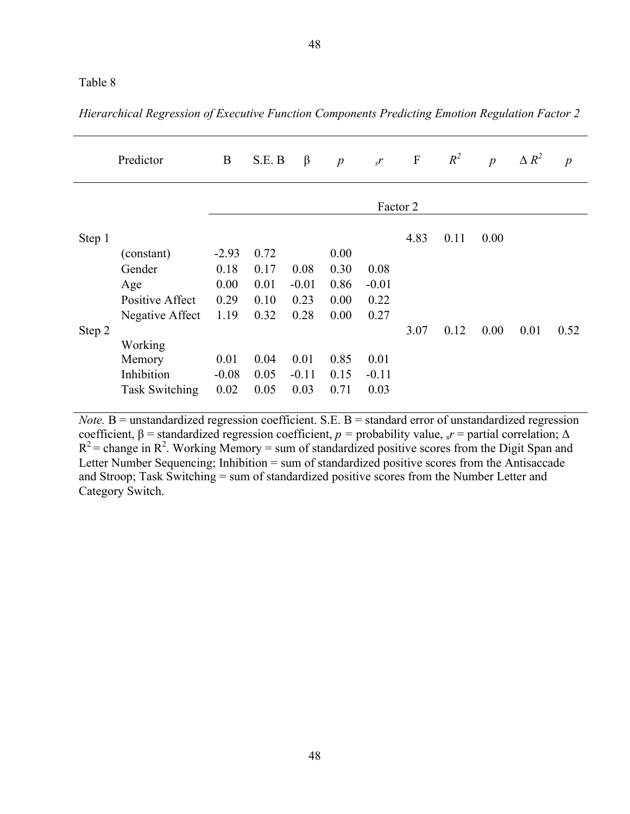|        | Predictor             | B       | S.E. B | $\beta$ | $\boldsymbol{p}$ | $s^{\prime\prime}$ | $\mathbf{F}$ | $R^2$ | $\boldsymbol{p}$ | $\Delta R^2$ | $\boldsymbol{p}$ |
|--------|-----------------------|---------|--------|---------|------------------|--------------------|--------------|-------|------------------|--------------|------------------|
|        |                       |         |        |         |                  | Factor 2           |              |       |                  |              |                  |
| Step 1 |                       |         |        |         |                  |                    | 4.83         | 0.11  | 0.00             |              |                  |
|        | (constant)            | $-2.93$ | 0.72   |         | 0.00             |                    |              |       |                  |              |                  |
|        | Gender                | 0.18    | 0.17   | 0.08    | 0.30             | 0.08               |              |       |                  |              |                  |
|        | Age                   | 0.00    | 0.01   | $-0.01$ | 0.86             | $-0.01$            |              |       |                  |              |                  |
|        | Positive Affect       | 0.29    | 0.10   | 0.23    | 0.00             | 0.22               |              |       |                  |              |                  |
|        | Negative Affect       | 1.19    | 0.32   | 0.28    | 0.00             | 0.27               |              |       |                  |              |                  |
| Step 2 |                       |         |        |         |                  |                    | 3.07         | 0.12  | 0.00             | 0.01         | 0.52             |
|        | Working               |         |        |         |                  |                    |              |       |                  |              |                  |
|        | Memory                | 0.01    | 0.04   | 0.01    | 0.85             | 0.01               |              |       |                  |              |                  |
|        | Inhibition            | $-0.08$ | 0.05   | $-0.11$ | 0.15             | $-0.11$            |              |       |                  |              |                  |
|        | <b>Task Switching</b> | 0.02    | 0.05   | 0.03    | 0.71             | 0.03               |              |       |                  |              |                  |

*Hierarchical Regression of Executive Function Components Predicting Emotion Regulation Factor 2* 

*Note.* B = unstandardized regression coefficient. S.E. B = standard error of unstandardized regression coefficient,  $\beta$  = standardized regression coefficient,  $p$  = probability value,  $s r$  = partial correlation;  $\Delta$  $R^2$  = change in  $R^2$ . Working Memory = sum of standardized positive scores from the Digit Span and Letter Number Sequencing; Inhibition = sum of standardized positive scores from the Antisaccade and Stroop; Task Switching = sum of standardized positive scores from the Number Letter and Category Switch.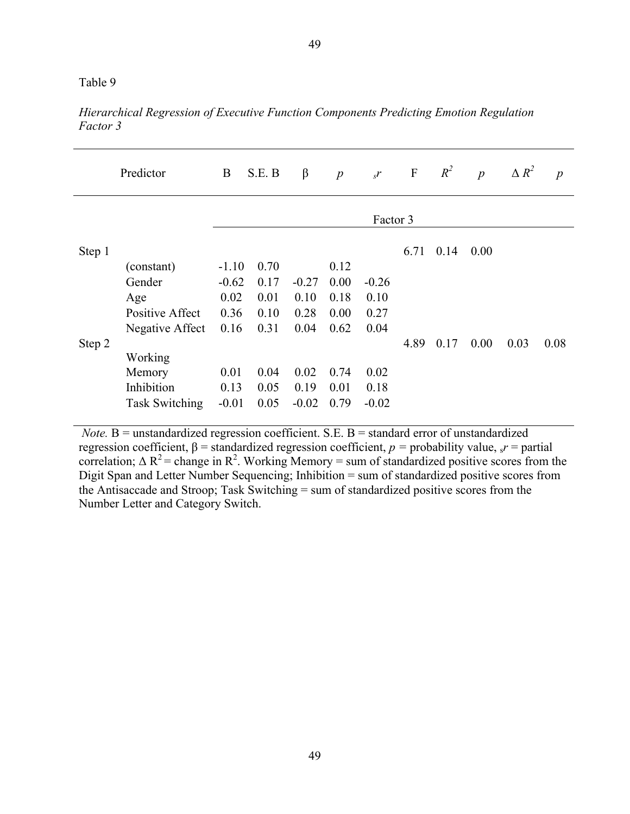|        | Predictor             | B       | S.E. B   | $\beta$ | $\boldsymbol{p}$ | $s^{\prime\prime}$ | $\boldsymbol{\mathrm{F}}$ | $R^2$ | $\overline{p}$ | $\Delta R^2$ | $\boldsymbol{p}$ |
|--------|-----------------------|---------|----------|---------|------------------|--------------------|---------------------------|-------|----------------|--------------|------------------|
|        |                       |         | Factor 3 |         |                  |                    |                           |       |                |              |                  |
| Step 1 |                       |         |          |         |                  |                    | 6.71                      | 0.14  | 0.00           |              |                  |
|        | (constant)            | $-1.10$ | 0.70     |         | 0.12             |                    |                           |       |                |              |                  |
|        | Gender                | $-0.62$ | 0.17     | $-0.27$ | 0.00             | $-0.26$            |                           |       |                |              |                  |
|        | Age                   | 0.02    | 0.01     | 0.10    | 0.18             | 0.10               |                           |       |                |              |                  |
|        | Positive Affect       | 0.36    | 0.10     | 0.28    | 0.00             | 0.27               |                           |       |                |              |                  |
|        | Negative Affect       | 0.16    | 0.31     | 0.04    | 0.62             | 0.04               |                           |       |                |              |                  |
| Step 2 |                       |         |          |         |                  |                    | 4.89                      | 0.17  | 0.00           | 0.03         | 0.08             |
|        | Working               |         |          |         |                  |                    |                           |       |                |              |                  |
|        | Memory                | 0.01    | 0.04     | 0.02    | 0.74             | 0.02               |                           |       |                |              |                  |
|        | Inhibition            | 0.13    | 0.05     | 0.19    | 0.01             | 0.18               |                           |       |                |              |                  |
|        | <b>Task Switching</b> | $-0.01$ | 0.05     | $-0.02$ | 0.79             | $-0.02$            |                           |       |                |              |                  |

*Hierarchical Regression of Executive Function Components Predicting Emotion Regulation Factor 3* 

*Note.* B = unstandardized regression coefficient. S.E. B = standard error of unstandardized regression coefficient,  $β = standardized regression coefficient, p = probability value, s = partial$ correlation;  $\Delta R^2$  = change in R<sup>2</sup>. Working Memory = sum of standardized positive scores from the Digit Span and Letter Number Sequencing; Inhibition = sum of standardized positive scores from the Antisaccade and Stroop; Task Switching = sum of standardized positive scores from the Number Letter and Category Switch.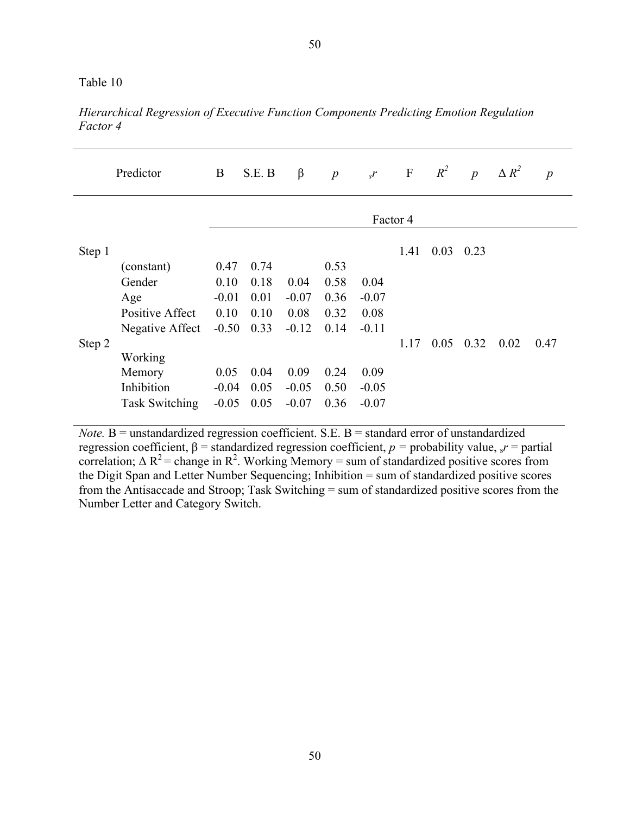|        | Predictor              | B       | S.E. B | β       | $\boldsymbol{p}$ | $s^{\prime\prime}$ | $\boldsymbol{F}$ | $R^2$ | p    | $\Delta R^2$ | $\boldsymbol{p}$ |
|--------|------------------------|---------|--------|---------|------------------|--------------------|------------------|-------|------|--------------|------------------|
|        |                        |         |        |         |                  |                    | Factor 4         |       |      |              |                  |
| Step 1 |                        |         |        |         |                  |                    | 1.41             | 0.03  | 0.23 |              |                  |
|        | (constant)             | 0.47    | 0.74   |         | 0.53             |                    |                  |       |      |              |                  |
|        | Gender                 | 0.10    | 0.18   | 0.04    | 0.58             | 0.04               |                  |       |      |              |                  |
|        | Age                    | $-0.01$ | 0.01   | $-0.07$ | 0.36             | $-0.07$            |                  |       |      |              |                  |
|        | <b>Positive Affect</b> | 0.10    | 0.10   | 0.08    | 0.32             | 0.08               |                  |       |      |              |                  |
|        | Negative Affect        | $-0.50$ | 0.33   | $-0.12$ | 0.14             | $-0.11$            |                  |       |      |              |                  |
| Step 2 |                        |         |        |         |                  |                    | 1.17             | 0.05  | 0.32 | 0.02         | 0.47             |
|        | Working                |         |        |         |                  |                    |                  |       |      |              |                  |
|        | Memory                 | 0.05    | 0.04   | 0.09    | 0.24             | 0.09               |                  |       |      |              |                  |
|        | Inhibition             | $-0.04$ | 0.05   | $-0.05$ | 0.50             | $-0.05$            |                  |       |      |              |                  |
|        | <b>Task Switching</b>  | $-0.05$ | 0.05   | $-0.07$ | 0.36             | $-0.07$            |                  |       |      |              |                  |

*Hierarchical Regression of Executive Function Components Predicting Emotion Regulation Factor 4* 

*Note.* B = unstandardized regression coefficient. S.E. B = standard error of unstandardized regression coefficient,  $β = standardized regression coefficient, p = probability value, s = partial$ correlation;  $\Delta R^2$  = change in R<sup>2</sup>. Working Memory = sum of standardized positive scores from the Digit Span and Letter Number Sequencing; Inhibition = sum of standardized positive scores from the Antisaccade and Stroop; Task Switching = sum of standardized positive scores from the Number Letter and Category Switch.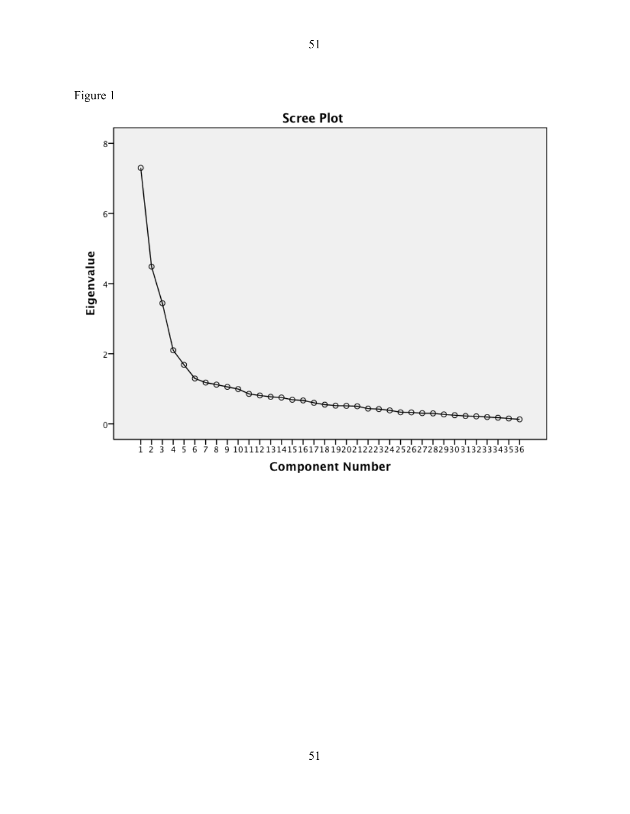

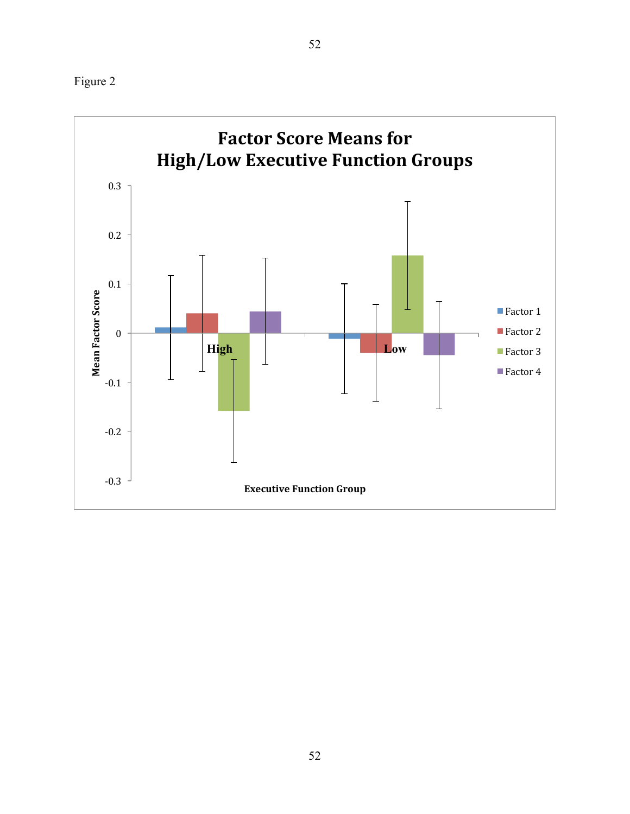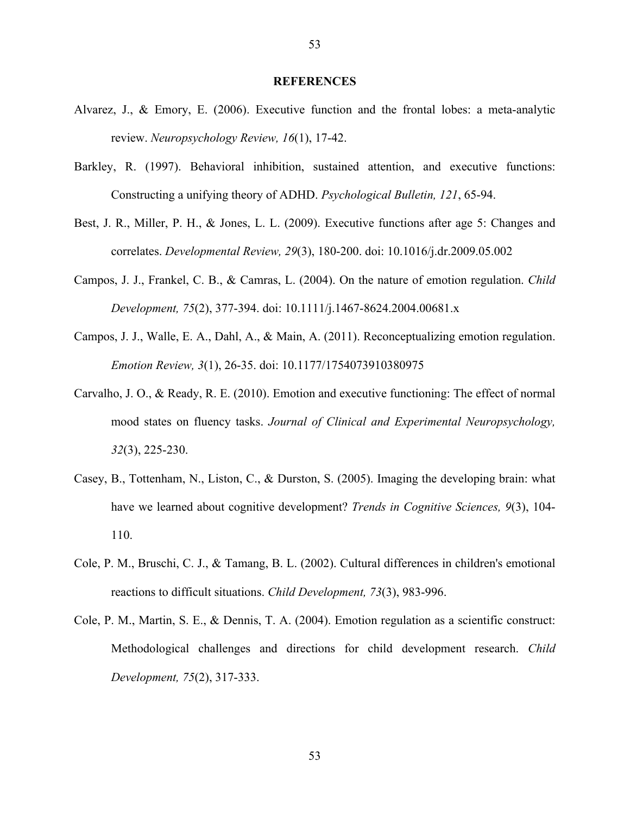#### **REFERENCES**

- Alvarez, J., & Emory, E. (2006). Executive function and the frontal lobes: a meta-analytic review. *Neuropsychology Review, 16*(1), 17-42.
- Barkley, R. (1997). Behavioral inhibition, sustained attention, and executive functions: Constructing a unifying theory of ADHD. *Psychological Bulletin, 121*, 65-94.
- Best, J. R., Miller, P. H., & Jones, L. L. (2009). Executive functions after age 5: Changes and correlates. *Developmental Review, 29*(3), 180-200. doi: 10.1016/j.dr.2009.05.002
- Campos, J. J., Frankel, C. B., & Camras, L. (2004). On the nature of emotion regulation. *Child Development, 75*(2), 377-394. doi: 10.1111/j.1467-8624.2004.00681.x
- Campos, J. J., Walle, E. A., Dahl, A., & Main, A. (2011). Reconceptualizing emotion regulation. *Emotion Review, 3*(1), 26-35. doi: 10.1177/1754073910380975
- Carvalho, J. O., & Ready, R. E. (2010). Emotion and executive functioning: The effect of normal mood states on fluency tasks. *Journal of Clinical and Experimental Neuropsychology, 32*(3), 225-230.
- Casey, B., Tottenham, N., Liston, C., & Durston, S. (2005). Imaging the developing brain: what have we learned about cognitive development? *Trends in Cognitive Sciences, 9*(3), 104- 110.
- Cole, P. M., Bruschi, C. J., & Tamang, B. L. (2002). Cultural differences in children's emotional reactions to difficult situations. *Child Development, 73*(3), 983-996.
- Cole, P. M., Martin, S. E., & Dennis, T. A. (2004). Emotion regulation as a scientific construct: Methodological challenges and directions for child development research. *Child Development, 75*(2), 317-333.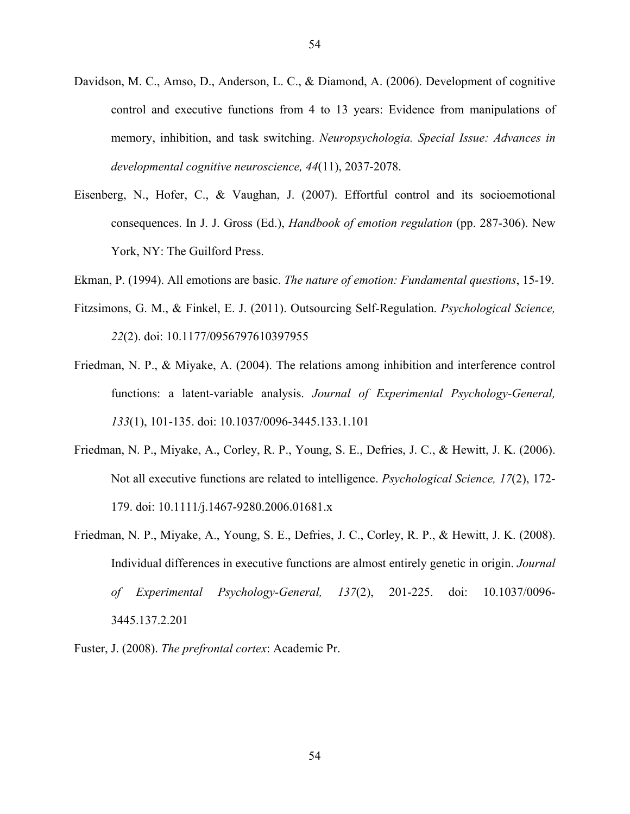- Davidson, M. C., Amso, D., Anderson, L. C., & Diamond, A. (2006). Development of cognitive control and executive functions from 4 to 13 years: Evidence from manipulations of memory, inhibition, and task switching. *Neuropsychologia. Special Issue: Advances in developmental cognitive neuroscience, 44*(11), 2037-2078.
- Eisenberg, N., Hofer, C., & Vaughan, J. (2007). Effortful control and its socioemotional consequences. In J. J. Gross (Ed.), *Handbook of emotion regulation* (pp. 287-306). New York, NY: The Guilford Press.

Ekman, P. (1994). All emotions are basic. *The nature of emotion: Fundamental questions*, 15-19.

- Fitzsimons, G. M., & Finkel, E. J. (2011). Outsourcing Self-Regulation. *Psychological Science, 22*(2). doi: 10.1177/0956797610397955
- Friedman, N. P., & Miyake, A. (2004). The relations among inhibition and interference control functions: a latent-variable analysis. *Journal of Experimental Psychology-General, 133*(1), 101-135. doi: 10.1037/0096-3445.133.1.101
- Friedman, N. P., Miyake, A., Corley, R. P., Young, S. E., Defries, J. C., & Hewitt, J. K. (2006). Not all executive functions are related to intelligence. *Psychological Science, 17*(2), 172- 179. doi: 10.1111/j.1467-9280.2006.01681.x
- Friedman, N. P., Miyake, A., Young, S. E., Defries, J. C., Corley, R. P., & Hewitt, J. K. (2008). Individual differences in executive functions are almost entirely genetic in origin. *Journal of Experimental Psychology-General, 137*(2), 201-225. doi: 10.1037/0096- 3445.137.2.201
- Fuster, J. (2008). *The prefrontal cortex*: Academic Pr.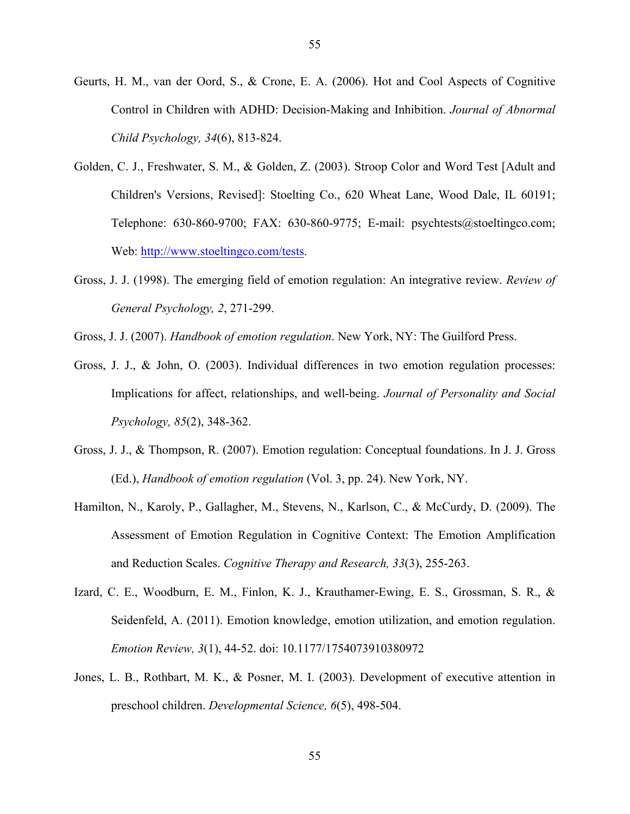- Geurts, H. M., van der Oord, S., & Crone, E. A. (2006). Hot and Cool Aspects of Cognitive Control in Children with ADHD: Decision-Making and Inhibition. *Journal of Abnormal Child Psychology, 34*(6), 813-824.
- Golden, C. J., Freshwater, S. M., & Golden, Z. (2003). Stroop Color and Word Test [Adult and Children's Versions, Revised]: Stoelting Co., 620 Wheat Lane, Wood Dale, IL 60191; Telephone: 630-860-9700; FAX: 630-860-9775; E-mail: psychtests@stoeltingco.com; Web: http://www.stoeltingco.com/tests.
- Gross, J. J. (1998). The emerging field of emotion regulation: An integrative review. *Review of General Psychology, 2*, 271-299.
- Gross, J. J. (2007). *Handbook of emotion regulation*. New York, NY: The Guilford Press.
- Gross, J. J., & John, O. (2003). Individual differences in two emotion regulation processes: Implications for affect, relationships, and well-being. *Journal of Personality and Social Psychology, 85*(2), 348-362.
- Gross, J. J., & Thompson, R. (2007). Emotion regulation: Conceptual foundations. In J. J. Gross (Ed.), *Handbook of emotion regulation* (Vol. 3, pp. 24). New York, NY.
- Hamilton, N., Karoly, P., Gallagher, M., Stevens, N., Karlson, C., & McCurdy, D. (2009). The Assessment of Emotion Regulation in Cognitive Context: The Emotion Amplification and Reduction Scales. *Cognitive Therapy and Research, 33*(3), 255-263.
- Izard, C. E., Woodburn, E. M., Finlon, K. J., Krauthamer-Ewing, E. S., Grossman, S. R., & Seidenfeld, A. (2011). Emotion knowledge, emotion utilization, and emotion regulation. *Emotion Review, 3*(1), 44-52. doi: 10.1177/1754073910380972
- Jones, L. B., Rothbart, M. K., & Posner, M. I. (2003). Development of executive attention in preschool children. *Developmental Science, 6*(5), 498-504.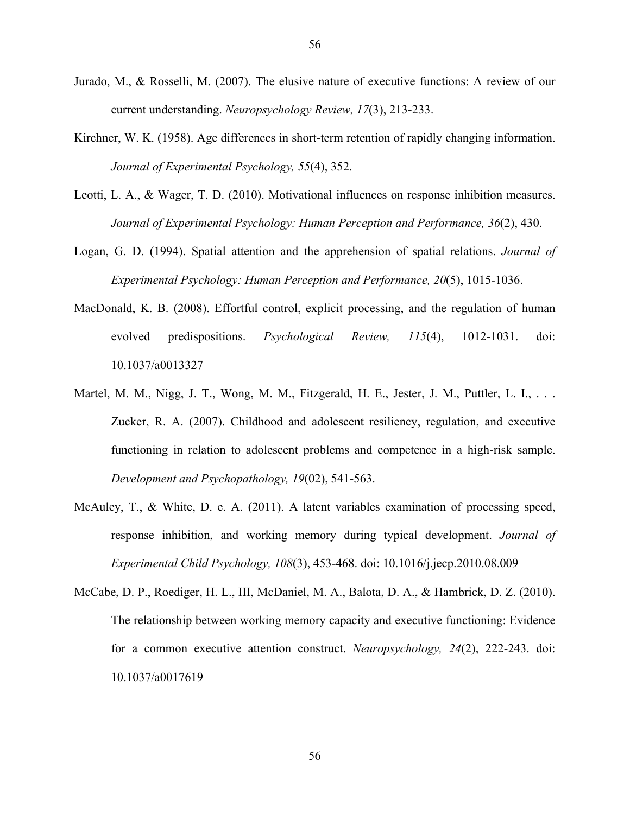- Jurado, M., & Rosselli, M. (2007). The elusive nature of executive functions: A review of our current understanding. *Neuropsychology Review, 17*(3), 213-233.
- Kirchner, W. K. (1958). Age differences in short-term retention of rapidly changing information. *Journal of Experimental Psychology, 55*(4), 352.
- Leotti, L. A., & Wager, T. D. (2010). Motivational influences on response inhibition measures. *Journal of Experimental Psychology: Human Perception and Performance, 36*(2), 430.
- Logan, G. D. (1994). Spatial attention and the apprehension of spatial relations. *Journal of Experimental Psychology: Human Perception and Performance, 20*(5), 1015-1036.
- MacDonald, K. B. (2008). Effortful control, explicit processing, and the regulation of human evolved predispositions. *Psychological Review, 115*(4), 1012-1031. doi: 10.1037/a0013327
- Martel, M. M., Nigg, J. T., Wong, M. M., Fitzgerald, H. E., Jester, J. M., Puttler, L. I., ... Zucker, R. A. (2007). Childhood and adolescent resiliency, regulation, and executive functioning in relation to adolescent problems and competence in a high-risk sample. *Development and Psychopathology, 19*(02), 541-563.
- McAuley, T., & White, D. e. A. (2011). A latent variables examination of processing speed, response inhibition, and working memory during typical development. *Journal of Experimental Child Psychology, 108*(3), 453-468. doi: 10.1016/j.jecp.2010.08.009
- McCabe, D. P., Roediger, H. L., III, McDaniel, M. A., Balota, D. A., & Hambrick, D. Z. (2010). The relationship between working memory capacity and executive functioning: Evidence for a common executive attention construct. *Neuropsychology, 24*(2), 222-243. doi: 10.1037/a0017619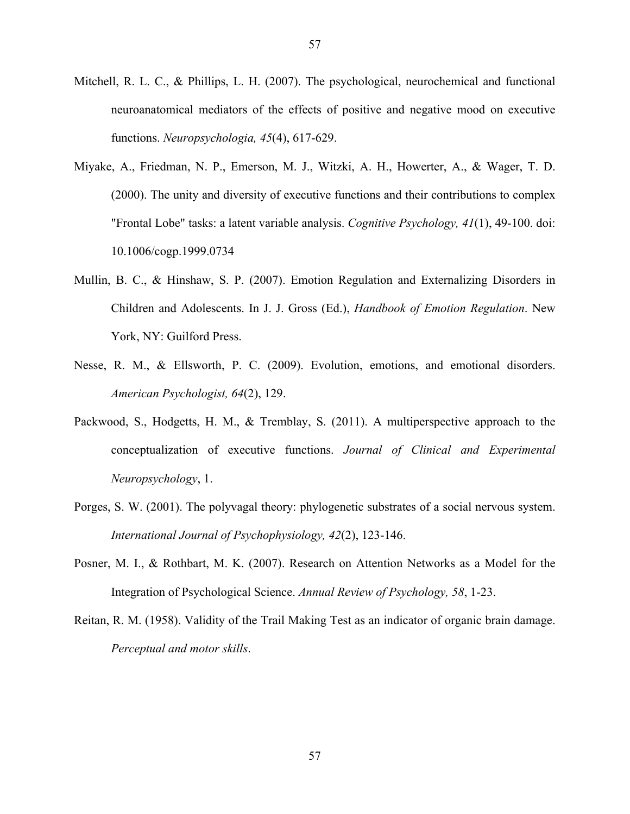- Mitchell, R. L. C., & Phillips, L. H. (2007). The psychological, neurochemical and functional neuroanatomical mediators of the effects of positive and negative mood on executive functions. *Neuropsychologia, 45*(4), 617-629.
- Miyake, A., Friedman, N. P., Emerson, M. J., Witzki, A. H., Howerter, A., & Wager, T. D. (2000). The unity and diversity of executive functions and their contributions to complex "Frontal Lobe" tasks: a latent variable analysis. *Cognitive Psychology, 41*(1), 49-100. doi: 10.1006/cogp.1999.0734
- Mullin, B. C., & Hinshaw, S. P. (2007). Emotion Regulation and Externalizing Disorders in Children and Adolescents. In J. J. Gross (Ed.), *Handbook of Emotion Regulation*. New York, NY: Guilford Press.
- Nesse, R. M., & Ellsworth, P. C. (2009). Evolution, emotions, and emotional disorders. *American Psychologist, 64*(2), 129.
- Packwood, S., Hodgetts, H. M., & Tremblay, S. (2011). A multiperspective approach to the conceptualization of executive functions. *Journal of Clinical and Experimental Neuropsychology*, 1.
- Porges, S. W. (2001). The polyvagal theory: phylogenetic substrates of a social nervous system. *International Journal of Psychophysiology, 42*(2), 123-146.
- Posner, M. I., & Rothbart, M. K. (2007). Research on Attention Networks as a Model for the Integration of Psychological Science. *Annual Review of Psychology, 58*, 1-23.
- Reitan, R. M. (1958). Validity of the Trail Making Test as an indicator of organic brain damage. *Perceptual and motor skills*.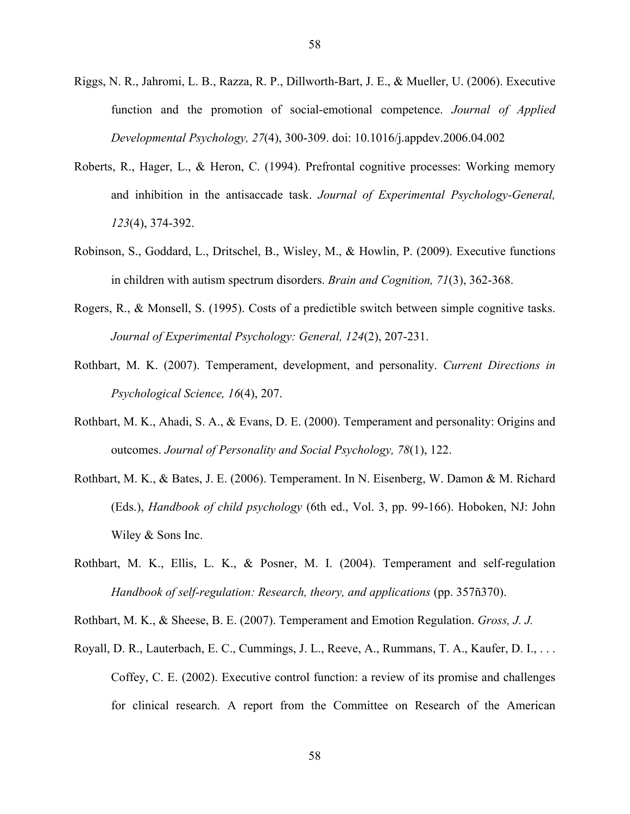- Riggs, N. R., Jahromi, L. B., Razza, R. P., Dillworth-Bart, J. E., & Mueller, U. (2006). Executive function and the promotion of social-emotional competence. *Journal of Applied Developmental Psychology, 27*(4), 300-309. doi: 10.1016/j.appdev.2006.04.002
- Roberts, R., Hager, L., & Heron, C. (1994). Prefrontal cognitive processes: Working memory and inhibition in the antisaccade task. *Journal of Experimental Psychology-General, 123*(4), 374-392.
- Robinson, S., Goddard, L., Dritschel, B., Wisley, M., & Howlin, P. (2009). Executive functions in children with autism spectrum disorders. *Brain and Cognition, 71*(3), 362-368.
- Rogers, R., & Monsell, S. (1995). Costs of a predictible switch between simple cognitive tasks. *Journal of Experimental Psychology: General, 124*(2), 207-231.
- Rothbart, M. K. (2007). Temperament, development, and personality. *Current Directions in Psychological Science, 16*(4), 207.
- Rothbart, M. K., Ahadi, S. A., & Evans, D. E. (2000). Temperament and personality: Origins and outcomes. *Journal of Personality and Social Psychology, 78*(1), 122.
- Rothbart, M. K., & Bates, J. E. (2006). Temperament. In N. Eisenberg, W. Damon & M. Richard (Eds.), *Handbook of child psychology* (6th ed., Vol. 3, pp. 99-166). Hoboken, NJ: John Wiley & Sons Inc.
- Rothbart, M. K., Ellis, L. K., & Posner, M. I. (2004). Temperament and self-regulation *Handbook of self-regulation: Research, theory, and applications* (pp. 357ñ370).
- Rothbart, M. K., & Sheese, B. E. (2007). Temperament and Emotion Regulation. *Gross, J. J.*
- Royall, D. R., Lauterbach, E. C., Cummings, J. L., Reeve, A., Rummans, T. A., Kaufer, D. I., . . . Coffey, C. E. (2002). Executive control function: a review of its promise and challenges for clinical research. A report from the Committee on Research of the American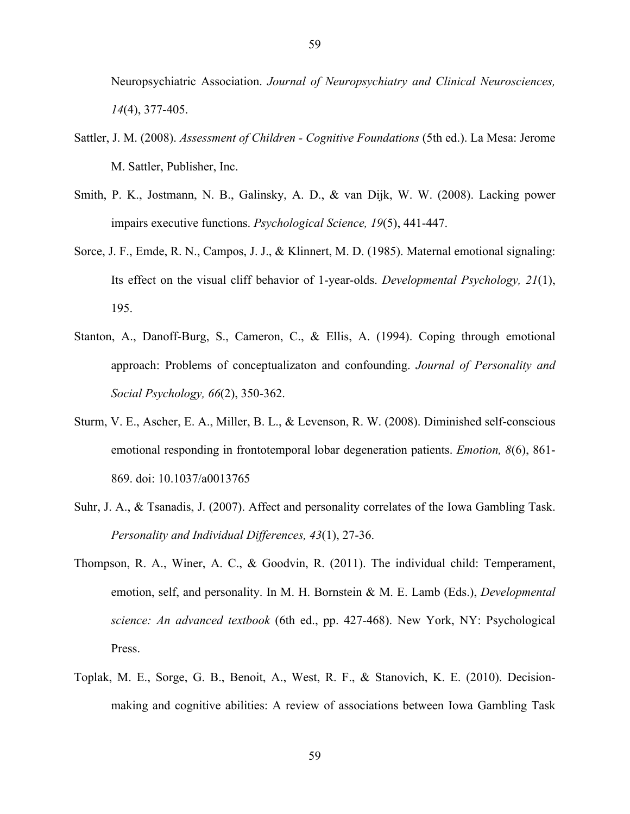Neuropsychiatric Association. *Journal of Neuropsychiatry and Clinical Neurosciences, 14*(4), 377-405.

- Sattler, J. M. (2008). *Assessment of Children - Cognitive Foundations* (5th ed.). La Mesa: Jerome M. Sattler, Publisher, Inc.
- Smith, P. K., Jostmann, N. B., Galinsky, A. D., & van Dijk, W. W. (2008). Lacking power impairs executive functions. *Psychological Science, 19*(5), 441-447.
- Sorce, J. F., Emde, R. N., Campos, J. J., & Klinnert, M. D. (1985). Maternal emotional signaling: Its effect on the visual cliff behavior of 1-year-olds. *Developmental Psychology, 21*(1), 195.
- Stanton, A., Danoff-Burg, S., Cameron, C., & Ellis, A. (1994). Coping through emotional approach: Problems of conceptualizaton and confounding. *Journal of Personality and Social Psychology, 66*(2), 350-362.
- Sturm, V. E., Ascher, E. A., Miller, B. L., & Levenson, R. W. (2008). Diminished self-conscious emotional responding in frontotemporal lobar degeneration patients. *Emotion, 8*(6), 861- 869. doi: 10.1037/a0013765
- Suhr, J. A., & Tsanadis, J. (2007). Affect and personality correlates of the Iowa Gambling Task. *Personality and Individual Differences, 43*(1), 27-36.
- Thompson, R. A., Winer, A. C., & Goodvin, R. (2011). The individual child: Temperament, emotion, self, and personality. In M. H. Bornstein & M. E. Lamb (Eds.), *Developmental science: An advanced textbook* (6th ed., pp. 427-468). New York, NY: Psychological Press.
- Toplak, M. E., Sorge, G. B., Benoit, A., West, R. F., & Stanovich, K. E. (2010). Decisionmaking and cognitive abilities: A review of associations between Iowa Gambling Task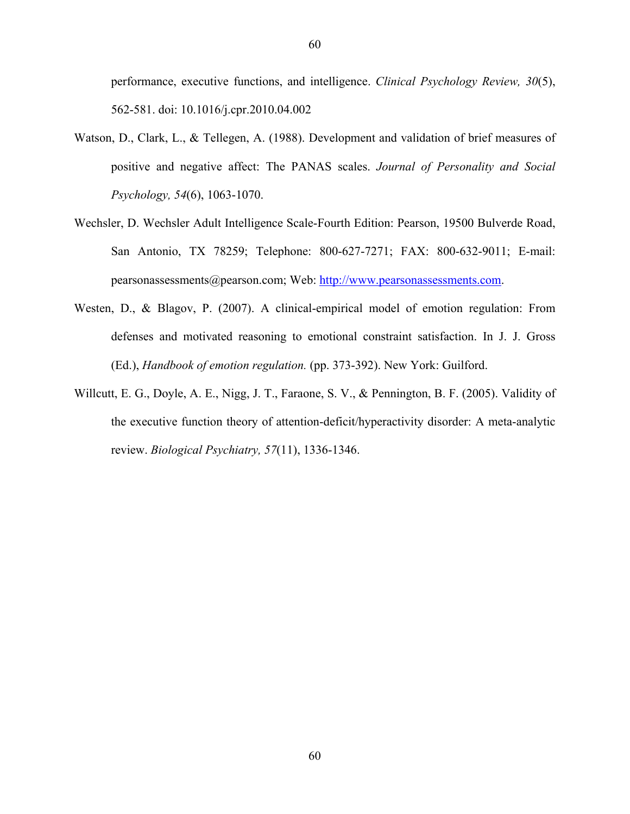performance, executive functions, and intelligence. *Clinical Psychology Review, 30*(5), 562-581. doi: 10.1016/j.cpr.2010.04.002

- Watson, D., Clark, L., & Tellegen, A. (1988). Development and validation of brief measures of positive and negative affect: The PANAS scales. *Journal of Personality and Social Psychology, 54*(6), 1063-1070.
- Wechsler, D. Wechsler Adult Intelligence Scale-Fourth Edition: Pearson, 19500 Bulverde Road, San Antonio, TX 78259; Telephone: 800-627-7271; FAX: 800-632-9011; E-mail: pearsonassessments@pearson.com; Web: http://www.pearsonassessments.com.
- Westen, D., & Blagov, P. (2007). A clinical-empirical model of emotion regulation: From defenses and motivated reasoning to emotional constraint satisfaction. In J. J. Gross (Ed.), *Handbook of emotion regulation.* (pp. 373-392). New York: Guilford.
- Willcutt, E. G., Doyle, A. E., Nigg, J. T., Faraone, S. V., & Pennington, B. F. (2005). Validity of the executive function theory of attention-deficit/hyperactivity disorder: A meta-analytic review. *Biological Psychiatry, 57*(11), 1336-1346.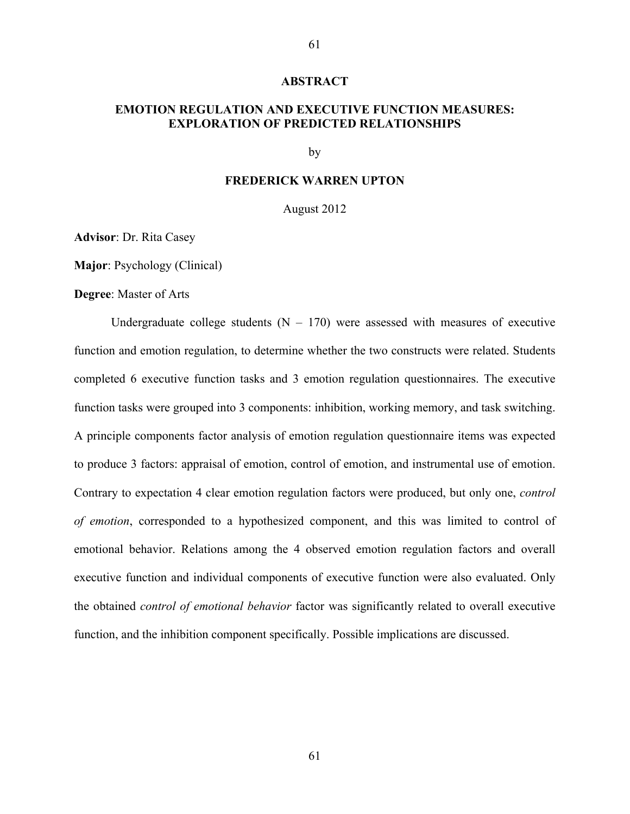#### **ABSTRACT**

## **EMOTION REGULATION AND EXECUTIVE FUNCTION MEASURES: EXPLORATION OF PREDICTED RELATIONSHIPS**

#### by

#### **FREDERICK WARREN UPTON**

August 2012

**Advisor**: Dr. Rita Casey

**Major**: Psychology (Clinical)

**Degree**: Master of Arts

Undergraduate college students  $(N - 170)$  were assessed with measures of executive function and emotion regulation, to determine whether the two constructs were related. Students completed 6 executive function tasks and 3 emotion regulation questionnaires. The executive function tasks were grouped into 3 components: inhibition, working memory, and task switching. A principle components factor analysis of emotion regulation questionnaire items was expected to produce 3 factors: appraisal of emotion, control of emotion, and instrumental use of emotion. Contrary to expectation 4 clear emotion regulation factors were produced, but only one, *control of emotion*, corresponded to a hypothesized component, and this was limited to control of emotional behavior. Relations among the 4 observed emotion regulation factors and overall executive function and individual components of executive function were also evaluated. Only the obtained *control of emotional behavior* factor was significantly related to overall executive function, and the inhibition component specifically. Possible implications are discussed.

61